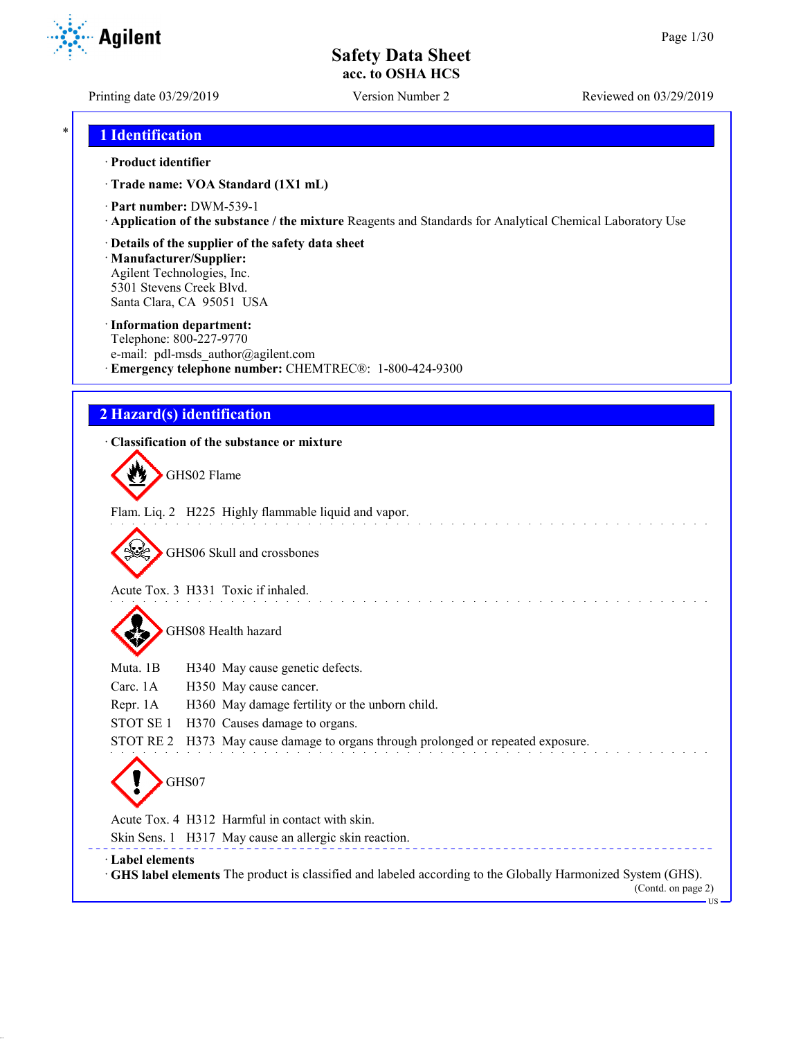Printing date 03/29/2019 Version Number 2 Reviewed on 03/29/2019

### \* **1 Identification**

#### · **Product identifier**

· **Trade name: VOA Standard (1X1 mL)**

- · **Part number:** DWM-539-1
- · **Application of the substance / the mixture** Reagents and Standards for Analytical Chemical Laboratory Use

#### · **Details of the supplier of the safety data sheet**

· **Manufacturer/Supplier:** Agilent Technologies, Inc. 5301 Stevens Creek Blvd. Santa Clara, CA 95051 USA

#### · **Information department:**

Telephone: 800-227-9770 e-mail: pdl-msds author@agilent.com · **Emergency telephone number:** CHEMTREC®: 1-800-424-9300

### **2 Hazard(s) identification**

# · **Classification of the substance or mixture**

GHS02 Flame

Flam. Liq. 2 H225 Highly flammable liquid and vapor.

GHS06 Skull and crossbones

Acute Tox. 3 H331 Toxic if inhaled.

GHS08 Health hazard

| Muta. 1B | H340 May cause genetic defects. |  |
|----------|---------------------------------|--|
|          |                                 |  |

Carc. 1A H350 May cause cancer.

- Repr. 1A H360 May damage fertility or the unborn child.
- STOT SE 1 H370 Causes damage to organs.

STOT RE 2 H373 May cause damage to organs through prolonged or repeated exposure.

GHS07

Acute Tox. 4 H312 Harmful in contact with skin.

Skin Sens. 1 H317 May cause an allergic skin reaction.

· **Label elements**

· **GHS label elements** The product is classified and labeled according to the Globally Harmonized System (GHS).

(Contd. on page 2) US

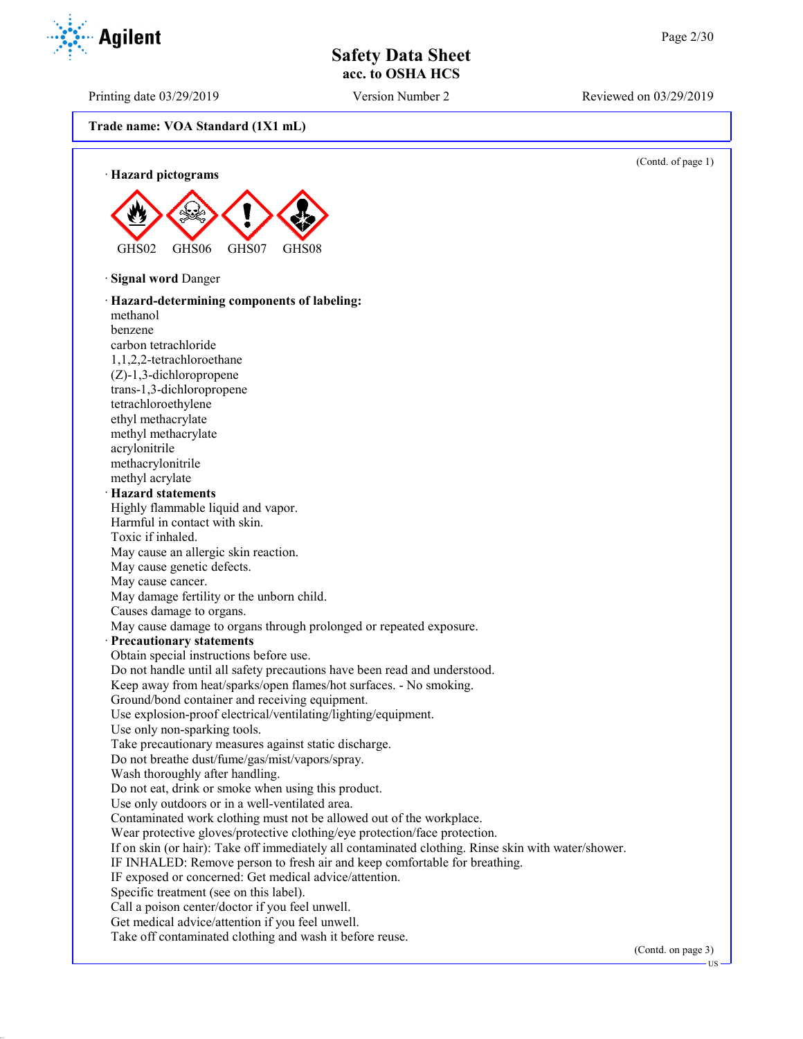Printing date 03/29/2019 Version Number 2 Reviewed on 03/29/2019

Agilent

**Trade name: VOA Standard (1X1 mL)**

(Contd. of page 1)

· **Hazard pictograms** GHS02 GHS06 GHS07 GHS08 · **Signal word** Danger · **Hazard-determining components of labeling:** methanol benzene carbon tetrachloride 1,1,2,2-tetrachloroethane (Z)-1,3-dichloropropene trans-1,3-dichloropropene tetrachloroethylene ethyl methacrylate methyl methacrylate acrylonitrile methacrylonitrile methyl acrylate · **Hazard statements** Highly flammable liquid and vapor. Harmful in contact with skin. Toxic if inhaled. May cause an allergic skin reaction. May cause genetic defects. May cause cancer. May damage fertility or the unborn child. Causes damage to organs. May cause damage to organs through prolonged or repeated exposure. · **Precautionary statements** Obtain special instructions before use. Do not handle until all safety precautions have been read and understood. Keep away from heat/sparks/open flames/hot surfaces. - No smoking. Ground/bond container and receiving equipment. Use explosion-proof electrical/ventilating/lighting/equipment. Use only non-sparking tools. Take precautionary measures against static discharge. Do not breathe dust/fume/gas/mist/vapors/spray. Wash thoroughly after handling. Do not eat, drink or smoke when using this product. Use only outdoors or in a well-ventilated area. Contaminated work clothing must not be allowed out of the workplace. Wear protective gloves/protective clothing/eye protection/face protection. If on skin (or hair): Take off immediately all contaminated clothing. Rinse skin with water/shower. IF INHALED: Remove person to fresh air and keep comfortable for breathing. IF exposed or concerned: Get medical advice/attention. Specific treatment (see on this label). Call a poison center/doctor if you feel unwell. Get medical advice/attention if you feel unwell. Take off contaminated clothing and wash it before reuse.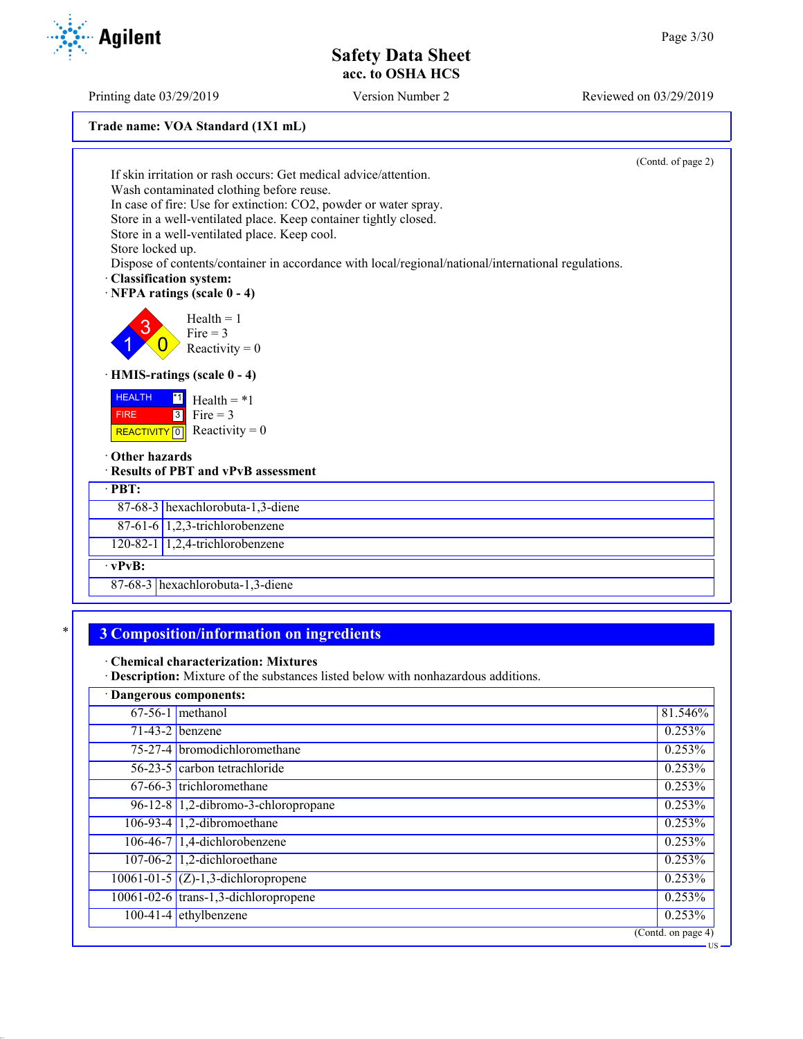Printing date 03/29/2019 Version Number 2 Reviewed on 03/29/2019

| Trade name: VOA Standard (1X1 mL) |  |  |
|-----------------------------------|--|--|
|-----------------------------------|--|--|

|                                                                                                              | (Contd. of page 2) |
|--------------------------------------------------------------------------------------------------------------|--------------------|
| If skin irritation or rash occurs: Get medical advice/attention.<br>Wash contaminated clothing before reuse. |                    |
| In case of fire: Use for extinction: CO2, powder or water spray.                                             |                    |
| Store in a well-ventilated place. Keep container tightly closed.                                             |                    |
| Store in a well-ventilated place. Keep cool.                                                                 |                    |
| Store locked up.                                                                                             |                    |
| Dispose of contents/container in accordance with local/regional/national/international regulations.          |                    |
| · Classification system:                                                                                     |                    |
| · NFPA ratings (scale 0 - 4)                                                                                 |                    |
| $Health = 1$                                                                                                 |                    |
| $Fire = 3$                                                                                                   |                    |
| Reactivity = $0$                                                                                             |                    |
| · HMIS-ratings (scale 0 - 4)                                                                                 |                    |
| <b>HEALTH</b><br>$^{\ast}1$<br>Health $=$ *1                                                                 |                    |
| $3$ Fire = 3<br><b>FIRE</b>                                                                                  |                    |
| REACTIVITY 0 Reactivity = 0                                                                                  |                    |
| Other hazards                                                                                                |                    |
| · Results of PBT and vPvB assessment                                                                         |                    |
| $\cdot$ PBT:                                                                                                 |                    |
| 87-68-3 hexachlorobuta-1,3-diene                                                                             |                    |
| $87-61-6$ 1,2,3-trichlorobenzene                                                                             |                    |
| $120-82-1$ 1,2,4-trichlorobenzene                                                                            |                    |
| $\cdot$ vPvB:                                                                                                |                    |
| 87-68-3 hexachlorobuta-1,3-diene                                                                             |                    |

## \* **3 Composition/information on ingredients**

· **Chemical characterization: Mixtures**

· **Description:** Mixture of the substances listed below with nonhazardous additions.

| · Dangerous components:                  |                    |
|------------------------------------------|--------------------|
| $67-56-1$ methanol                       | 81.546%            |
| $71-43-2$ benzene                        | 0.253%             |
| 75-27-4 bromodichloromethane             | 0.253%             |
| $56-23-5$ carbon tetrachloride           | 0.253%             |
| 67-66-3 trichloromethane                 | 0.253%             |
| $96-12-8$ 1,2-dibromo-3-chloropropane    | 0.253%             |
| 106-93-4 $1,2$ -dibromoethane            | 0.253%             |
| $106-46-7$ 1,4-dichlorobenzene           | 0.253%             |
| 107-06-2 $\vert$ 1,2-dichloroethane      | 0.253%             |
| $10061 - 01 - 5$ (Z)-1,3-dichloropropene | 0.253%             |
| 10061-02-6 trans-1,3-dichloropropene     | 0.253%             |
| $100-41-4$ ethylbenzene                  | 0.253%             |
|                                          | (Contd. on page 4) |
|                                          | – US               |

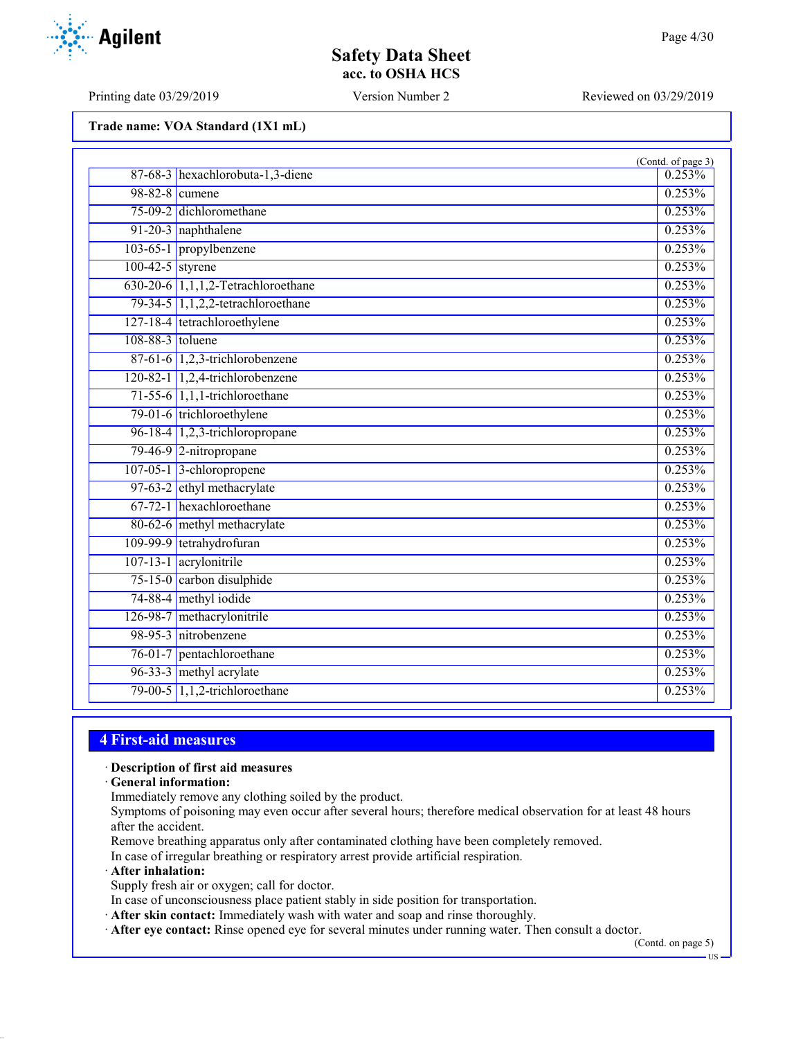Printing date 03/29/2019 Version Number 2 Reviewed on 03/29/2019

**Agilent** 

**Trade name: VOA Standard (1X1 mL)**

|                    |                                    | (Contd. of page 3) |
|--------------------|------------------------------------|--------------------|
|                    | 87-68-3 hexachlorobuta-1,3-diene   | 0.253%             |
|                    | 98-82-8 cumene                     | 0.253%             |
|                    | 75-09-2 dichloromethane            | 0.253%             |
|                    | 91-20-3 naphthalene                | 0.253%             |
|                    | 103-65-1 propylbenzene             | 0.253%             |
| $100-42-5$ styrene |                                    | 0.253%             |
|                    | 630-20-6 1,1,1,2-Tetrachloroethane | 0.253%             |
|                    | 79-34-5 1,1,2,2-tetrachloroethane  | 0.253%             |
|                    | 127-18-4 tetrachloroethylene       | 0.253%             |
| $108-88-3$ toluene |                                    | 0.253%             |
|                    | $87-61-6$ 1,2,3-trichlorobenzene   | 0.253%             |
|                    | 120-82-1 1,2,4-trichlorobenzene    | 0.253%             |
|                    | $71-55-6$ 1,1,1-trichloroethane    | 0.253%             |
|                    | 79-01-6 trichloroethylene          | 0.253%             |
|                    | 96-18-4 1,2,3-trichloropropane     | 0.253%             |
|                    | 79-46-9 2-nitropropane             | 0.253%             |
|                    | 107-05-1 3-chloropropene           | 0.253%             |
|                    | 97-63-2 ethyl methacrylate         | 0.253%             |
|                    | 67-72-1 hexachloroethane           | 0.253%             |
|                    | 80-62-6 methyl methacrylate        | 0.253%             |
|                    | 109-99-9 tetrahydrofuran           | 0.253%             |
|                    | 107-13-1 acrylonitrile             | 0.253%             |
|                    | 75-15-0 carbon disulphide          | 0.253%             |
|                    | 74-88-4 methyl iodide              | 0.253%             |
|                    | 126-98-7 methacrylonitrile         | 0.253%             |
|                    | 98-95-3 nitrobenzene               | 0.253%             |
|                    | 76-01-7 pentachloroethane          | 0.253%             |
|                    | 96-33-3 methyl acrylate            | 0.253%             |
|                    | 79-00-5 1,1,2-trichloroethane      | 0.253%             |

### **4 First-aid measures**

· **Description of first aid measures**

· **General information:**

Immediately remove any clothing soiled by the product.

Symptoms of poisoning may even occur after several hours; therefore medical observation for at least 48 hours after the accident.

Remove breathing apparatus only after contaminated clothing have been completely removed.

In case of irregular breathing or respiratory arrest provide artificial respiration.

· **After inhalation:**

Supply fresh air or oxygen; call for doctor.

In case of unconsciousness place patient stably in side position for transportation.

· **After skin contact:** Immediately wash with water and soap and rinse thoroughly.

· **After eye contact:** Rinse opened eye for several minutes under running water. Then consult a doctor.

(Contd. on page 5)

US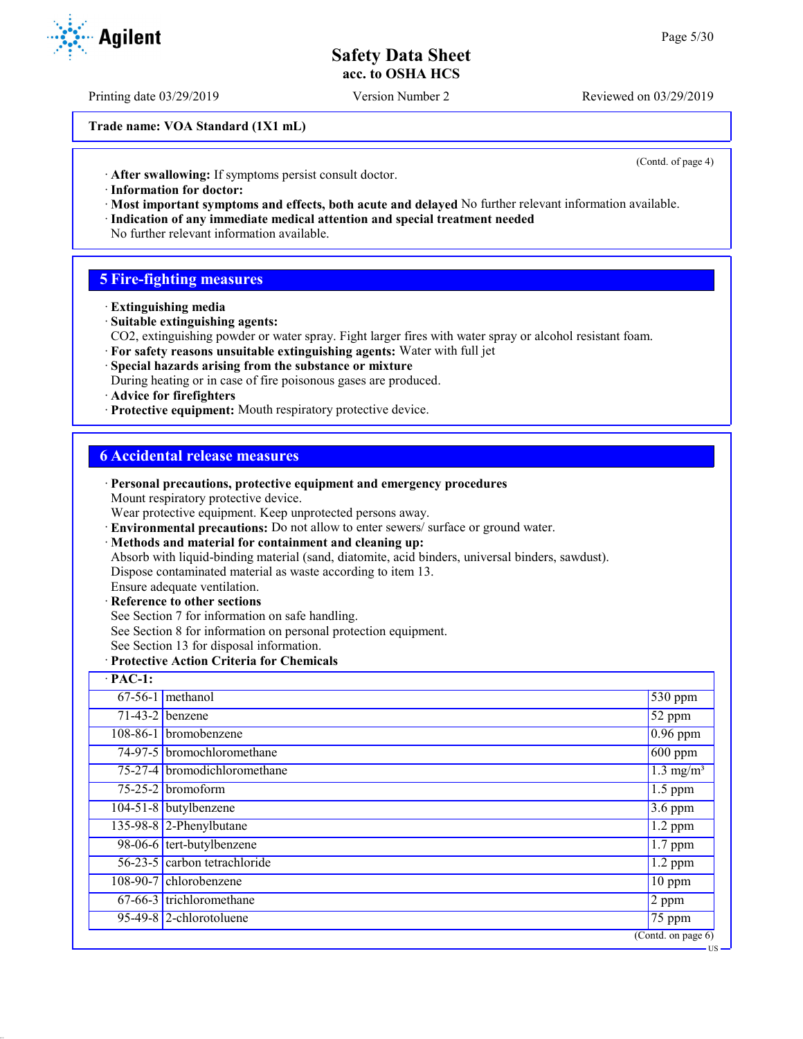Printing date 03/29/2019 Version Number 2 Reviewed on 03/29/2019

**Trade name: VOA Standard (1X1 mL)**

(Contd. of page 4)

US

· **After swallowing:** If symptoms persist consult doctor.

- · **Information for doctor:**
- · **Most important symptoms and effects, both acute and delayed** No further relevant information available.
- · **Indication of any immediate medical attention and special treatment needed**
- No further relevant information available.

### **5 Fire-fighting measures**

- · **Extinguishing media**
- · **Suitable extinguishing agents:**
- CO2, extinguishing powder or water spray. Fight larger fires with water spray or alcohol resistant foam.
- · **For safety reasons unsuitable extinguishing agents:** Water with full jet

· **Personal precautions, protective equipment and emergency procedures**

- · **Special hazards arising from the substance or mixture**
- During heating or in case of fire poisonous gases are produced.
- · **Advice for firefighters**
- · **Protective equipment:** Mouth respiratory protective device.

### **6 Accidental release measures**

|                | I crisonal precautions, protective equipment and emergency procedures<br>Mount respiratory protective device. |                                        |
|----------------|---------------------------------------------------------------------------------------------------------------|----------------------------------------|
|                | Wear protective equipment. Keep unprotected persons away.                                                     |                                        |
|                | · Environmental precautions: Do not allow to enter sewers/ surface or ground water.                           |                                        |
|                | · Methods and material for containment and cleaning up:                                                       |                                        |
|                | Absorb with liquid-binding material (sand, diatomite, acid binders, universal binders, sawdust).              |                                        |
|                | Dispose contaminated material as waste according to item 13.                                                  |                                        |
|                | Ensure adequate ventilation.                                                                                  |                                        |
|                | · Reference to other sections                                                                                 |                                        |
|                | See Section 7 for information on safe handling.                                                               |                                        |
|                | See Section 8 for information on personal protection equipment.<br>See Section 13 for disposal information.   |                                        |
|                | · Protective Action Criteria for Chemicals                                                                    |                                        |
| $\cdot$ PAC-1: |                                                                                                               |                                        |
|                |                                                                                                               |                                        |
|                | $67-56-1$ methanol                                                                                            | 530 ppm                                |
|                | $71-43-2$ benzene                                                                                             | 52 ppm                                 |
|                | 108-86-1 bromobenzene                                                                                         | $0.96$ ppm                             |
|                | 74-97-5 bromochloromethane                                                                                    | $600$ ppm                              |
|                | 75-27-4 bromodichloromethane                                                                                  | $1.3 \text{ mg/m}^3$                   |
|                | $75-25-2$ bromoform                                                                                           | $1.5$ ppm                              |
|                | 104-51-8 butylbenzene                                                                                         | $3.6$ ppm                              |
|                | $135-98-8$ 2-Phenylbutane                                                                                     | $1.2$ ppm                              |
|                | 98-06-6 tert-butylbenzene                                                                                     | $\overline{1}$ .7 ppm                  |
|                | 56-23-5 carbon tetrachloride                                                                                  | $1.2$ ppm                              |
|                | 108-90-7 chlorobenzene                                                                                        | 10 ppm                                 |
|                | 67-66-3 trichloromethane                                                                                      | $\overline{2}$ ppm                     |
|                | 95-49-8 2-chlorotoluene                                                                                       | $\overline{75}$ ppm                    |
|                |                                                                                                               | $\overline{(\text{Contd. on page 6})}$ |

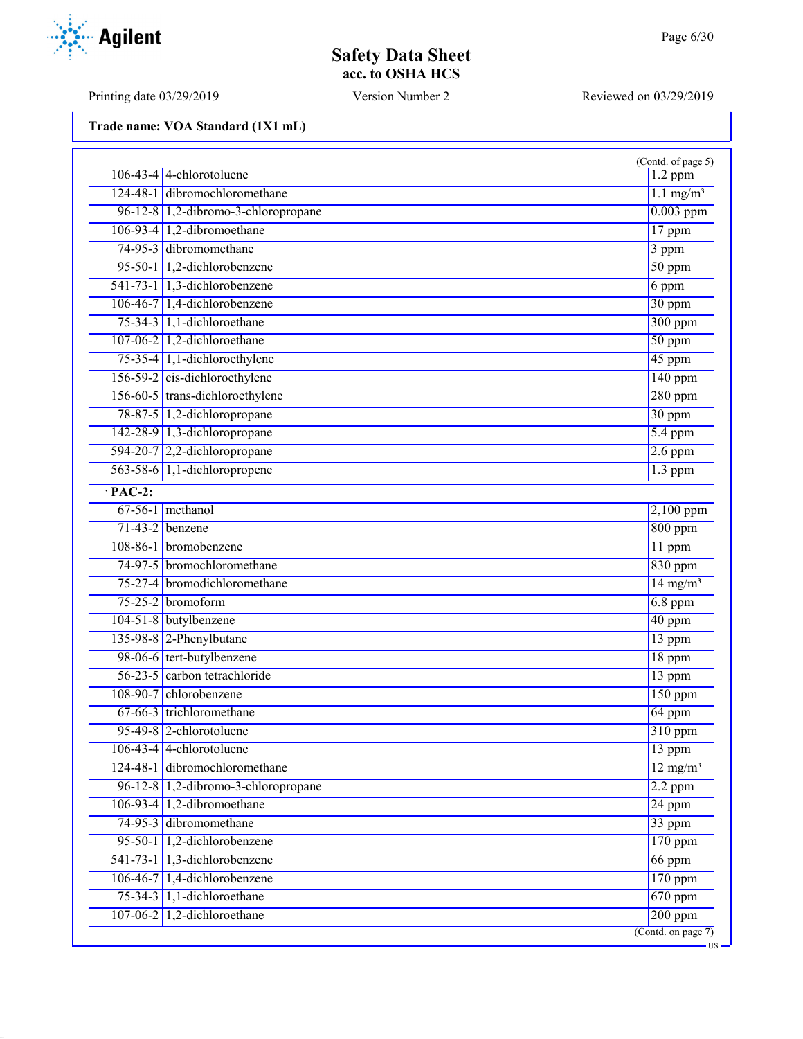# **Safety Data Sheet acc. to OSHA HCS**

Printing date 03/29/2019 Version Number 2 Reviewed on 03/29/2019

|                |                                      | (Contd. of page 5)                     |
|----------------|--------------------------------------|----------------------------------------|
|                | $106-43-4$ 4-chlorotoluene           | $1.2$ ppm                              |
|                | 124-48-1 dibromochloromethane        | $1.1$ mg/m <sup>3</sup>                |
|                | 96-12-8 1,2-dibromo-3-chloropropane  | $0.003$ ppm                            |
|                | $106-93-4$ 1,2-dibromoethane         | 17 ppm                                 |
|                | 74-95-3 dibromomethane               | 3 ppm                                  |
|                | 95-50-1 1,2-dichlorobenzene          | $50$ ppm                               |
|                | 541-73-1 1,3-dichlorobenzene         | 6 ppm                                  |
|                | $106-46-7$ 1,4-dichlorobenzene       | 30 ppm                                 |
|                | 75-34-3 1,1-dichloroethane           | $300$ ppm                              |
|                | 107-06-2 1,2-dichloroethane          | $50$ ppm                               |
|                | 75-35-4 1,1-dichloroethylene         | 45 ppm                                 |
|                | 156-59-2 cis-dichloroethylene        | $140$ ppm                              |
|                | 156-60-5 trans-dichloroethylene      | $280$ ppm                              |
|                | 78-87-5 1,2-dichloropropane          | 30 ppm                                 |
|                | 142-28-9 1,3-dichloropropane         | $\overline{5.4~\text{ppm}}$            |
|                | $594-20-7$ 2,2-dichloropropane       | $2.6$ ppm                              |
|                | 563-58-6 1,1-dichloropropene         | $1.3$ ppm                              |
| $\cdot$ PAC-2: |                                      |                                        |
|                | $67-56-1$ methanol                   | 2,100 ppm                              |
|                | $71-43-2$ benzene                    | $800$ ppm                              |
|                | 108-86-1 bromobenzene                | 11 ppm                                 |
|                | 74-97-5 bromochloromethane           | $830$ ppm                              |
|                | 75-27-4 bromodichloromethane         | $14 \text{ mg/m}^3$                    |
|                | $75-25-2$ bromoform                  | $6.8$ ppm                              |
|                | 104-51-8 butylbenzene                | 40 ppm                                 |
|                | 135-98-8 2-Phenylbutane              | 13 ppm                                 |
|                | 98-06-6 tert-butylbenzene            | 18 ppm                                 |
|                | $56-23-5$ carbon tetrachloride       | 13 ppm                                 |
|                | 108-90-7 chlorobenzene               | 150 ppm                                |
|                | 67-66-3 trichloromethane             | 64 ppm                                 |
|                | 95-49-8 2-chlorotoluene              | 310 ppm                                |
|                | $106-43-4$ 4-chlorotoluene           | 13 ppm                                 |
|                | 124-48-1 dibromochloromethane        | $12$ mg/m <sup>3</sup>                 |
|                | 96-12-8 1,2-dibromo-3-chloropropane  | $2.2$ ppm                              |
|                | 106-93-4 $ 1,2$ -dibromoethane       | $24$ ppm                               |
|                | 74-95-3 dibromomethane               | 33 ppm                                 |
|                | 95-50-1 1,2-dichlorobenzene          | $170$ ppm                              |
|                | 541-73-1 $\vert$ 1,3-dichlorobenzene | 66 ppm                                 |
|                | $106-46-7$ 1,4-dichlorobenzene       | 170 ppm                                |
|                | $75-34-3$ 1,1-dichloroethane         | $670$ ppm                              |
|                | 107-06-2 $\vert$ 1,2-dichloroethane  | $200$ ppm                              |
|                |                                      | $\overline{(\text{Contd. on page 7})}$ |

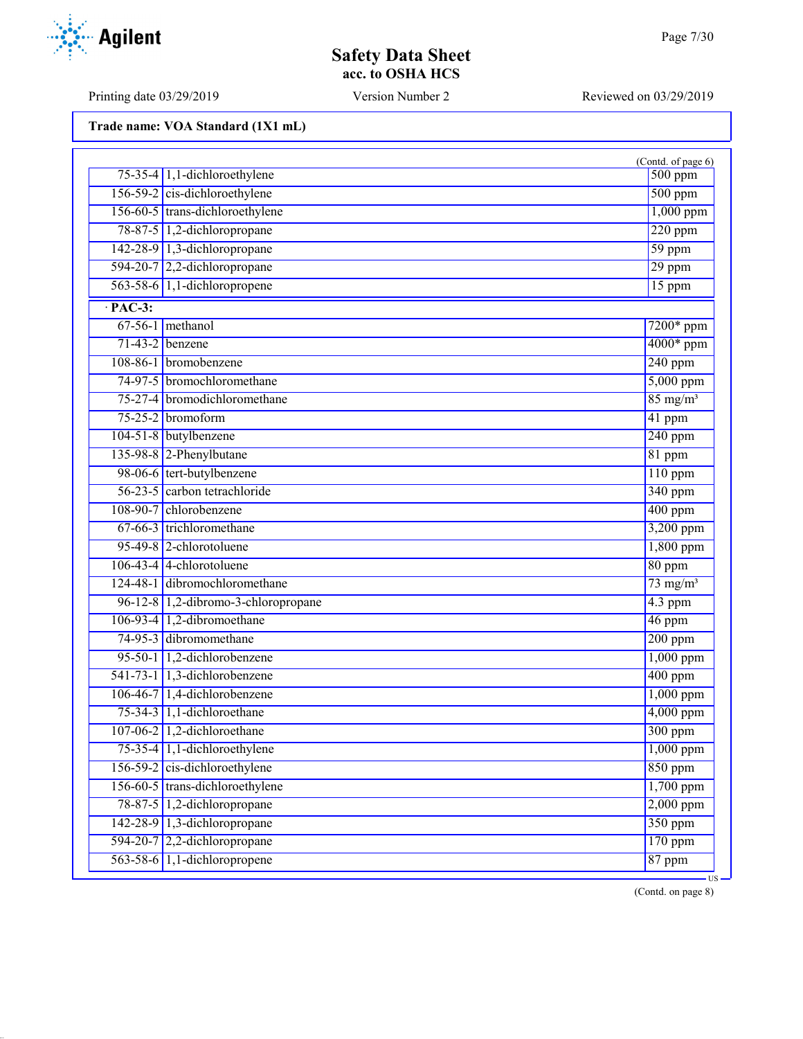Printing date 03/29/2019 Version Number 2 Reviewed on 03/29/2019

**Trade name: VOA Standard (1X1 mL)**

|                |                                     | (Contd. of page 6)          |
|----------------|-------------------------------------|-----------------------------|
|                | $75-35-4$ 1,1-dichloroethylene      | $500$ ppm                   |
|                | 156-59-2 cis-dichloroethylene       | $500$ ppm                   |
|                | 156-60-5 trans-dichloroethylene     | $1,000$ ppm                 |
|                | 78-87-5 1,2-dichloropropane         | $220$ ppm                   |
|                | 142-28-9 1,3-dichloropropane        | $59$ ppm                    |
|                | 594-20-7 2,2-dichloropropane        | 29 ppm                      |
|                | 563-58-6 1,1-dichloropropene        | 15 ppm                      |
| $\cdot$ PAC-3: |                                     |                             |
|                | $67-56-1$ methanol                  | $7200*$ ppm                 |
|                | $71-43-2$ benzene                   | 4000* ppm                   |
|                | 108-86-1 bromobenzene               | $240$ ppm                   |
|                | 74-97-5 bromochloromethane          | 5,000 ppm                   |
|                | 75-27-4 bromodichloromethane        | $85 \text{ mg/m}^3$         |
|                | $75-25-2$ bromoform                 | 41 ppm                      |
|                | 104-51-8 butylbenzene               | $240$ ppm                   |
|                | 135-98-8 2-Phenylbutane             | 81 ppm                      |
|                | 98-06-6 tert-butylbenzene           | $110$ ppm                   |
|                | 56-23-5 carbon tetrachloride        | $340$ ppm                   |
|                | 108-90-7 chlorobenzene              | $400$ ppm                   |
|                | 67-66-3 trichloromethane            | 3,200 ppm                   |
|                | 95-49-8 2-chlorotoluene             | $1,800$ ppm                 |
|                | $106-43-4$ 4-chlorotoluene          | 80 ppm                      |
|                | 124-48-1 dibromochloromethane       | $73$ mg/m <sup>3</sup>      |
|                | 96-12-8 1,2-dibromo-3-chloropropane | $4.3$ ppm                   |
|                | 106-93-4 1,2-dibromoethane          | $46$ ppm                    |
|                | 74-95-3 dibromomethane              | $\overline{200~\text{ppm}}$ |
|                | 95-50-1 1,2-dichlorobenzene         | $1,000$ ppm                 |
|                | 541-73-1 1,3-dichlorobenzene        | $400$ ppm                   |
|                | 106-46-7 1,4-dichlorobenzene        | $1,000$ ppm                 |
|                | 75-34-3 1,1-dichloroethane          | 4,000 ppm                   |
|                | 107-06-2 1,2-dichloroethane         | 300 ppm                     |
|                | 75-35-4 1,1-dichloroethylene        | $1,000$ ppm                 |
|                | $156-59-2$ cis-dichloroethylene     | $850$ ppm                   |
|                | 156-60-5 trans-dichloroethylene     | $1,700$ ppm                 |
|                | 78-87-5 1,2-dichloropropane         | $2,000$ ppm                 |
|                | 142-28-9 1,3-dichloropropane        | 350 ppm                     |
|                | 594-20-7 2,2-dichloropropane        | $170$ ppm                   |
|                | 563-58-6 1,1-dichloropropene        | 87 ppm                      |

(Contd. on page 8)

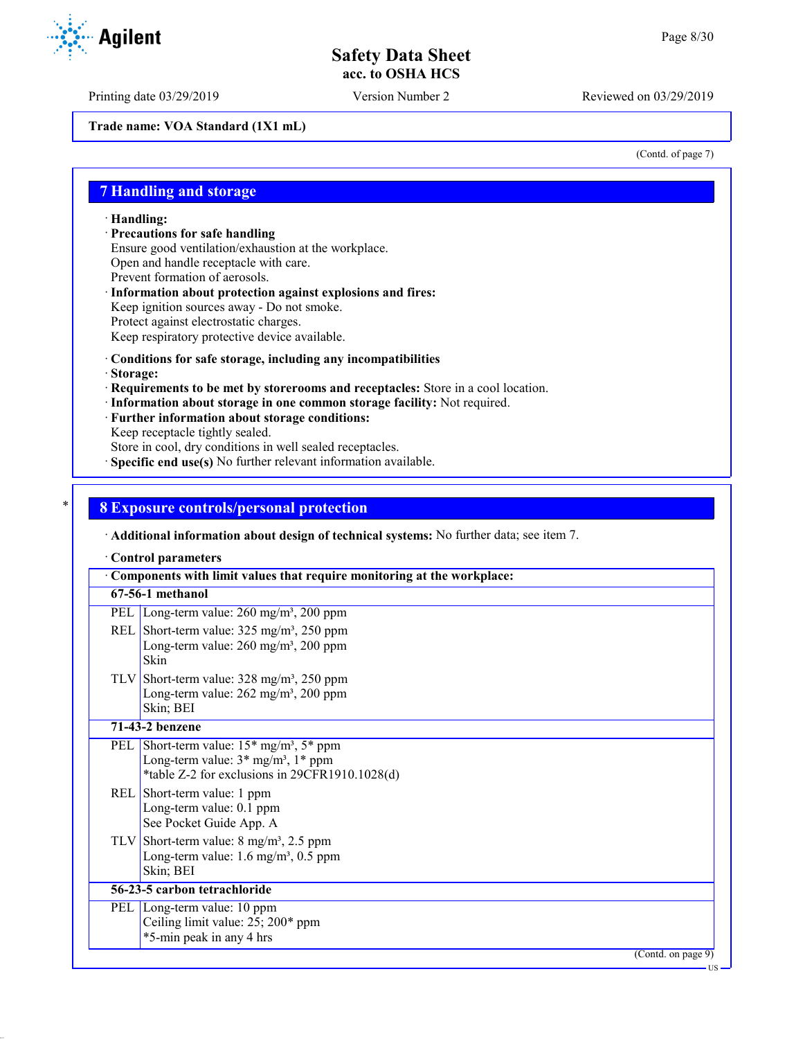Printing date 03/29/2019 Version Number 2 Reviewed on 03/29/2019

**Trade name: VOA Standard (1X1 mL)**

(Contd. of page 7)

### **7 Handling and storage**

· **Handling:**

· **Precautions for safe handling**

Ensure good ventilation/exhaustion at the workplace.

Open and handle receptacle with care.

- Prevent formation of aerosols.
- · **Information about protection against explosions and fires:** Keep ignition sources away - Do not smoke. Protect against electrostatic charges.
- Keep respiratory protective device available.
- · **Conditions for safe storage, including any incompatibilities**
- · **Storage:**
- · **Requirements to be met by storerooms and receptacles:** Store in a cool location.
- · **Information about storage in one common storage facility:** Not required.
- · **Further information about storage conditions:**
- Keep receptacle tightly sealed.

Store in cool, dry conditions in well sealed receptacles.

· **Specific end use(s)** No further relevant information available.

### \* **8 Exposure controls/personal protection**

· **Additional information about design of technical systems:** No further data; see item 7.

· **Control parameters**

|     | Components with limit values that require monitoring at the workplace:                                                                                           |
|-----|------------------------------------------------------------------------------------------------------------------------------------------------------------------|
|     | 67-56-1 methanol                                                                                                                                                 |
| PEL | Long-term value: $260 \text{ mg/m}^3$ , $200 \text{ ppm}$                                                                                                        |
|     | REL Short-term value: $325 \text{ mg/m}^3$ , $250 \text{ ppm}$<br>Long-term value: $260 \text{ mg/m}^3$ , $200 \text{ ppm}$<br>Skin                              |
|     | TLV Short-term value: $328 \text{ mg/m}^3$ , $250 \text{ ppm}$<br>Long-term value: $262$ mg/m <sup>3</sup> , $200$ ppm<br>Skin; BEI                              |
|     | 71-43-2 benzene                                                                                                                                                  |
|     | PEL Short-term value: $15*$ mg/m <sup>3</sup> , $5*$ ppm<br>Long-term value: $3*$ mg/m <sup>3</sup> , $1*$ ppm<br>*table Z-2 for exclusions in 29CFR1910.1028(d) |
|     | REL Short-term value: 1 ppm<br>Long-term value: 0.1 ppm<br>See Pocket Guide App. A                                                                               |
|     | TLV Short-term value: $8 \text{ mg/m}^3$ , 2.5 ppm<br>Long-term value: $1.6 \text{ mg/m}^3$ , $0.5 \text{ ppm}$<br>Skin; BEI                                     |
|     | 56-23-5 carbon tetrachloride                                                                                                                                     |
|     | PEL Long-term value: 10 ppm<br>Ceiling limit value: 25; 200* ppm<br>*5-min peak in any 4 hrs                                                                     |
|     | (Contd. on page 9)                                                                                                                                               |
|     | $US -$                                                                                                                                                           |

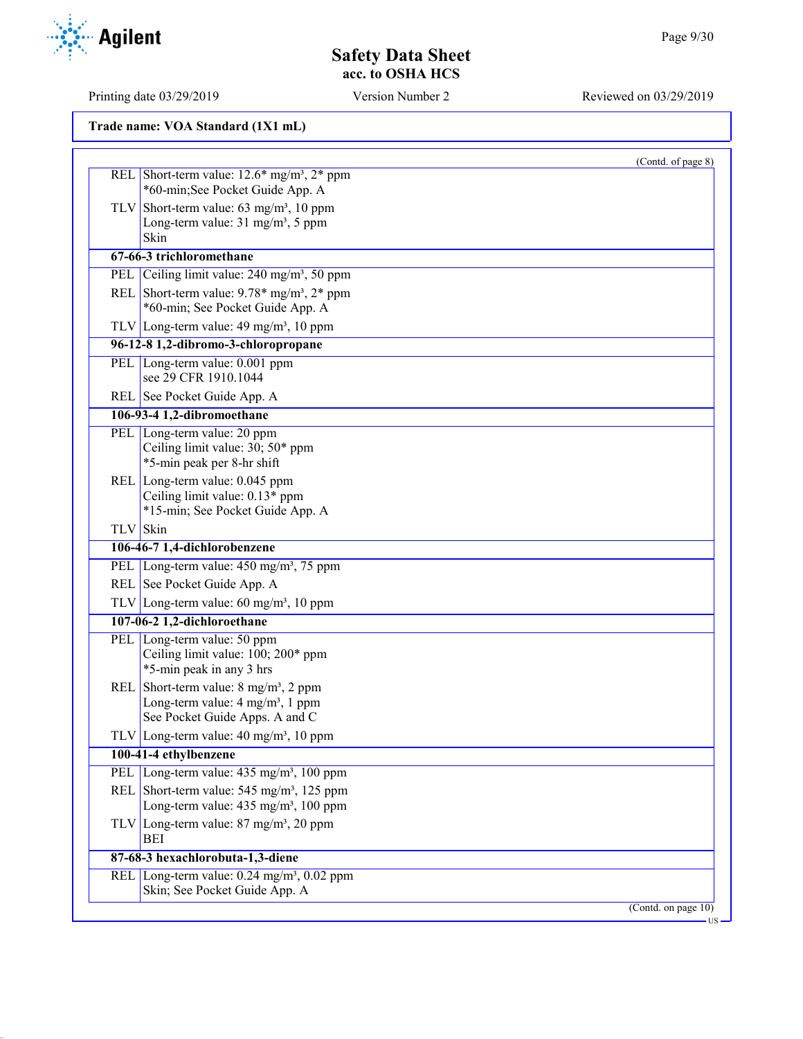Printing date 03/29/2019 Version Number 2 Reviewed on 03/29/2019

|          |                                                                                                     | (Contd. of page 8)  |
|----------|-----------------------------------------------------------------------------------------------------|---------------------|
|          | REL Short-term value: $12.6*$ mg/m <sup>3</sup> , $2*$ ppm<br>*60-min;See Pocket Guide App. A       |                     |
|          |                                                                                                     |                     |
|          | TLV Short-term value: $63 \text{ mg/m}^3$ , 10 ppm<br>Long-term value: 31 mg/m <sup>3</sup> , 5 ppm |                     |
|          | Skin                                                                                                |                     |
|          | 67-66-3 trichloromethane                                                                            |                     |
|          | PEL Ceiling limit value: 240 mg/m <sup>3</sup> , 50 ppm                                             |                     |
|          | REL Short-term value: $9.78*$ mg/m <sup>3</sup> , $2*$ ppm                                          |                     |
|          | *60-min; See Pocket Guide App. A                                                                    |                     |
|          | TLV Long-term value: $49 \text{ mg/m}^3$ , 10 ppm                                                   |                     |
|          | 96-12-8 1,2-dibromo-3-chloropropane                                                                 |                     |
|          | PEL Long-term value: 0.001 ppm                                                                      |                     |
|          | see 29 CFR 1910.1044                                                                                |                     |
|          | REL See Pocket Guide App. A                                                                         |                     |
|          | 106-93-4 1,2-dibromoethane                                                                          |                     |
|          | PEL Long-term value: 20 ppm                                                                         |                     |
|          | Ceiling limit value: 30; 50* ppm                                                                    |                     |
|          | *5-min peak per 8-hr shift                                                                          |                     |
|          | REL Long-term value: 0.045 ppm                                                                      |                     |
|          | Ceiling limit value: 0.13* ppm<br>*15-min; See Pocket Guide App. A                                  |                     |
| TLV Skin |                                                                                                     |                     |
|          | 106-46-7 1,4-dichlorobenzene                                                                        |                     |
|          | PEL Long-term value: 450 mg/m <sup>3</sup> , 75 ppm                                                 |                     |
|          | REL See Pocket Guide App. A                                                                         |                     |
|          | TLV Long-term value: $60 \text{ mg/m}^3$ , 10 ppm                                                   |                     |
|          | 107-06-2 1,2-dichloroethane                                                                         |                     |
|          | PEL Long-term value: 50 ppm                                                                         |                     |
|          | Ceiling limit value: 100; 200* ppm                                                                  |                     |
|          | *5-min peak in any 3 hrs                                                                            |                     |
|          | REL Short-term value: $8 \text{ mg/m}^3$ , $2 \text{ ppm}$                                          |                     |
|          | Long-term value: 4 mg/m <sup>3</sup> , 1 ppm                                                        |                     |
|          | See Pocket Guide Apps. A and C                                                                      |                     |
|          | TLV Long-term value: $40 \text{ mg/m}^3$ , 10 ppm                                                   |                     |
|          | 100-41-4 ethylbenzene                                                                               |                     |
|          | PEL Long-term value: 435 mg/m <sup>3</sup> , 100 ppm                                                |                     |
|          | REL Short-term value: $545 \text{ mg/m}^3$ , 125 ppm                                                |                     |
|          | Long-term value: 435 mg/m <sup>3</sup> , 100 ppm                                                    |                     |
|          | TLV Long-term value: $87 \text{ mg/m}^3$ , $20 \text{ ppm}$<br>BEI                                  |                     |
|          | 87-68-3 hexachlorobuta-1,3-diene                                                                    |                     |
|          | REL Long-term value: 0.24 mg/m <sup>3</sup> , 0.02 ppm                                              |                     |
|          | Skin; See Pocket Guide App. A                                                                       |                     |
|          |                                                                                                     | (Contd. on page 10) |

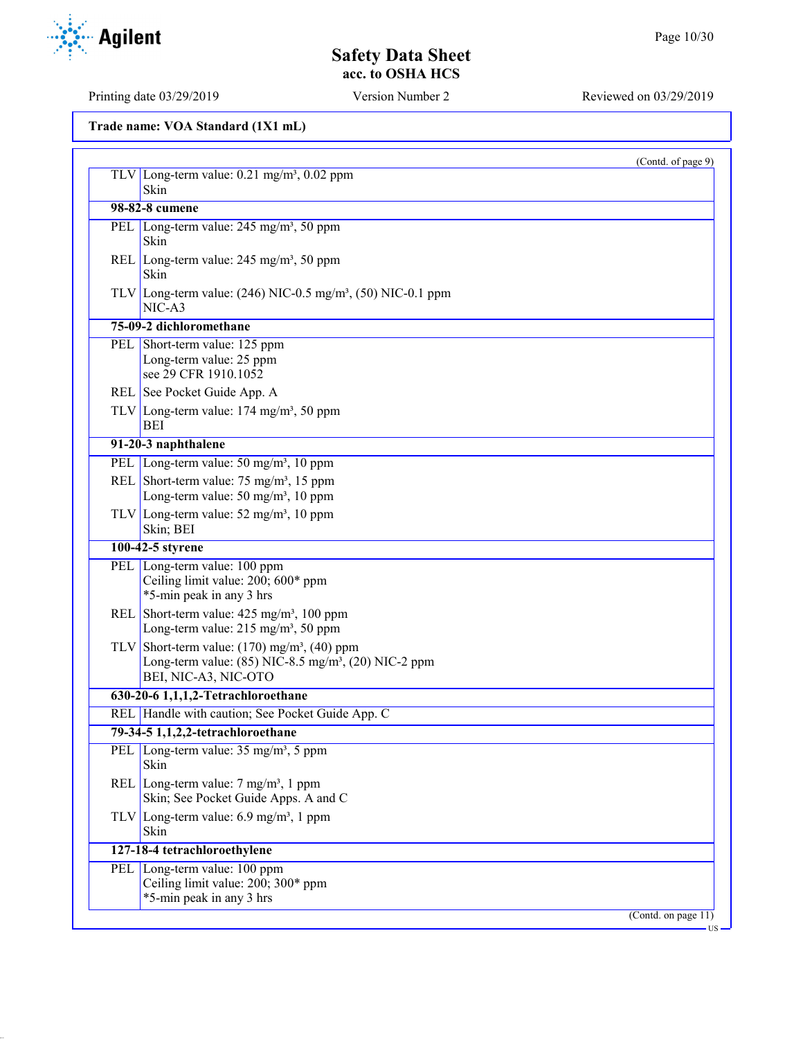| (Contd. of page 9)                                                                                                                                           |
|--------------------------------------------------------------------------------------------------------------------------------------------------------------|
| TLV Long-term value: $0.21$ mg/m <sup>3</sup> , $0.02$ ppm<br>Skin                                                                                           |
| 98-82-8 cumene                                                                                                                                               |
|                                                                                                                                                              |
| PEL Long-term value: 245 mg/m <sup>3</sup> , 50 ppm<br><b>Skin</b>                                                                                           |
| REL Long-term value: $245 \text{ mg/m}^3$ , 50 ppm<br>Skin                                                                                                   |
| TLV Long-term value: $(246)$ NIC-0.5 mg/m <sup>3</sup> , (50) NIC-0.1 ppm<br>$NIC-A3$                                                                        |
| 75-09-2 dichloromethane                                                                                                                                      |
| PEL Short-term value: 125 ppm<br>Long-term value: 25 ppm<br>see 29 CFR 1910.1052                                                                             |
| REL See Pocket Guide App. A                                                                                                                                  |
| TLV Long-term value: $174 \text{ mg/m}^3$ , 50 ppm<br>BEI                                                                                                    |
| 91-20-3 naphthalene                                                                                                                                          |
| PEL Long-term value: 50 mg/m <sup>3</sup> , 10 ppm                                                                                                           |
| REL Short-term value: $75 \text{ mg/m}^3$ , 15 ppm<br>Long-term value: 50 mg/m <sup>3</sup> , 10 ppm                                                         |
| TLV Long-term value: $52 \text{ mg/m}^3$ , 10 ppm<br>Skin; BEI                                                                                               |
| 100-42-5 styrene                                                                                                                                             |
| PEL Long-term value: 100 ppm<br>Ceiling limit value: 200; 600* ppm<br>*5-min peak in any 3 hrs                                                               |
| REL Short-term value: $425 \text{ mg/m}^3$ , 100 ppm<br>Long-term value: 215 mg/m <sup>3</sup> , 50 ppm                                                      |
| TLV Short-term value: $(170)$ mg/m <sup>3</sup> , $(40)$ ppm<br>Long-term value: $(85)$ NIC-8.5 mg/m <sup>3</sup> , $(20)$ NIC-2 ppm<br>BEI, NIC-A3, NIC-OTO |
| 630-20-6 1,1,1,2-Tetrachloroethane                                                                                                                           |
| REL Handle with caution; See Pocket Guide App. C                                                                                                             |
| 79-34-5 1,1,2,2-tetrachloroethane                                                                                                                            |
| PEL   Long-term value: 35 mg/m <sup>3</sup> , 5 ppm<br>Skin                                                                                                  |
| REL Long-term value: $7 \text{ mg/m}^3$ , 1 ppm<br>Skin; See Pocket Guide Apps. A and C                                                                      |
| TLV Long-term value: $6.9 \text{ mg/m}^3$ , 1 ppm<br>Skin                                                                                                    |
| 127-18-4 tetrachloroethylene                                                                                                                                 |
| PEL Long-term value: 100 ppm                                                                                                                                 |
| Ceiling limit value: 200; 300* ppm                                                                                                                           |
| *5-min peak in any 3 hrs                                                                                                                                     |
| (Contd. on page $11$ )                                                                                                                                       |

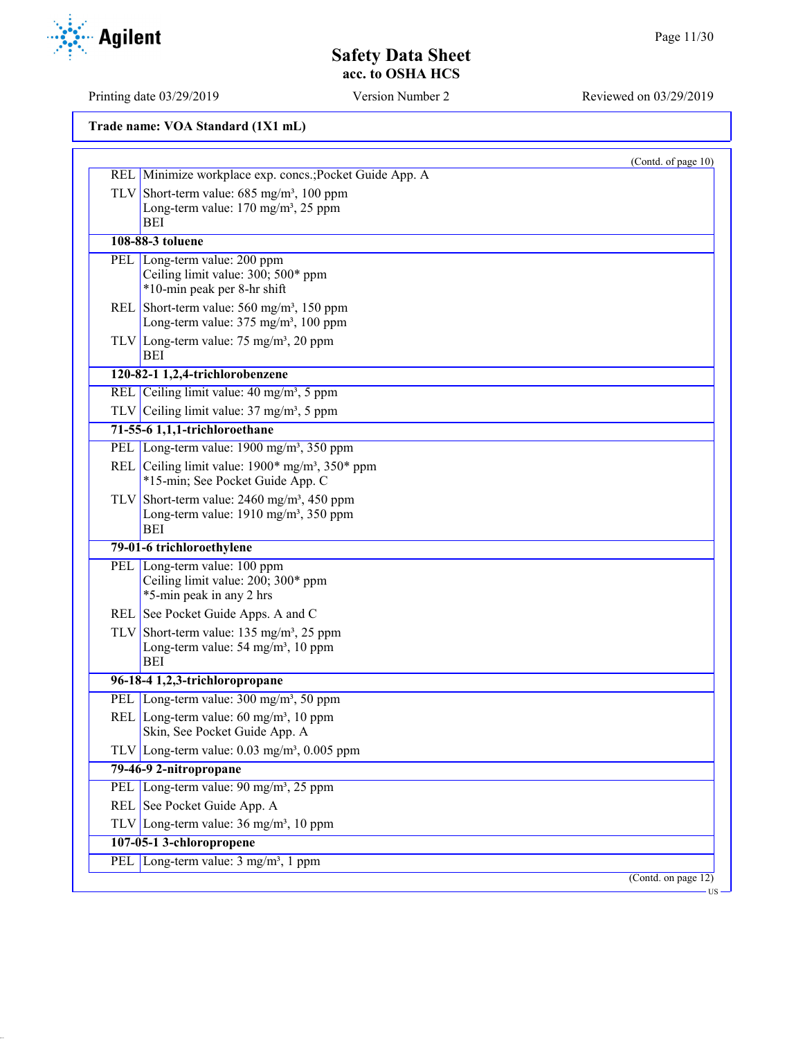Printing date 03/29/2019 Version Number 2 Reviewed on 03/29/2019

|                                                                                                                             | (Contd. of page 10) |
|-----------------------------------------------------------------------------------------------------------------------------|---------------------|
| REL Minimize workplace exp. concs.; Pocket Guide App. A                                                                     |                     |
| TLV Short-term value: $685 \text{ mg/m}^3$ , 100 ppm<br>Long-term value: 170 mg/m <sup>3</sup> , 25 ppm<br><b>BEI</b>       |                     |
| 108-88-3 toluene                                                                                                            |                     |
| PEL Long-term value: 200 ppm<br>Ceiling limit value: 300; 500* ppm<br>*10-min peak per 8-hr shift                           |                     |
| REL Short-term value: $560 \text{ mg/m}^3$ , 150 ppm<br>Long-term value: 375 mg/m <sup>3</sup> , 100 ppm                    |                     |
| TLV Long-term value: $75 \text{ mg/m}^3$ , 20 ppm<br>BEI                                                                    |                     |
| 120-82-1 1,2,4-trichlorobenzene                                                                                             |                     |
| REL Ceiling limit value: 40 mg/m <sup>3</sup> , 5 ppm                                                                       |                     |
| TLV Ceiling limit value: $37 \text{ mg/m}^3$ , 5 ppm                                                                        |                     |
| 71-55-6 1,1,1-trichloroethane                                                                                               |                     |
| PEL Long-term value: $1900 \text{ mg/m}^3$ , 350 ppm                                                                        |                     |
| REL Ceiling limit value: $1900*$ mg/m <sup>3</sup> , $350*$ ppm<br>*15-min; See Pocket Guide App. C                         |                     |
| TLV Short-term value: $2460$ mg/m <sup>3</sup> , 450 ppm<br>Long-term value: 1910 mg/m <sup>3</sup> , 350 ppm<br><b>BEI</b> |                     |
| 79-01-6 trichloroethylene                                                                                                   |                     |
| PEL Long-term value: 100 ppm<br>Ceiling limit value: 200; 300* ppm<br>*5-min peak in any 2 hrs                              |                     |
| REL See Pocket Guide Apps. A and C                                                                                          |                     |
| TLV Short-term value: $135 \text{ mg/m}^3$ , 25 ppm<br>Long-term value: 54 mg/m <sup>3</sup> , 10 ppm<br>BEI                |                     |
| 96-18-4 1,2,3-trichloropropane                                                                                              |                     |
| PEL Long-term value: 300 mg/m <sup>3</sup> , 50 ppm                                                                         |                     |
| REL Long-term value: $60 \text{ mg/m}^3$ , 10 ppm<br>Skin, See Pocket Guide App. A                                          |                     |
| TLV Long-term value: $0.03$ mg/m <sup>3</sup> , $0.005$ ppm                                                                 |                     |
| 79-46-9 2-nitropropane                                                                                                      |                     |
| PEL Long-term value: 90 mg/m <sup>3</sup> , 25 ppm                                                                          |                     |
| REL See Pocket Guide App. A                                                                                                 |                     |
| TLV Long-term value: $36 \text{ mg/m}^3$ , 10 ppm                                                                           |                     |
| 107-05-1 3-chloropropene                                                                                                    |                     |
|                                                                                                                             |                     |
| PEL Long-term value: 3 mg/m <sup>3</sup> , 1 ppm                                                                            |                     |

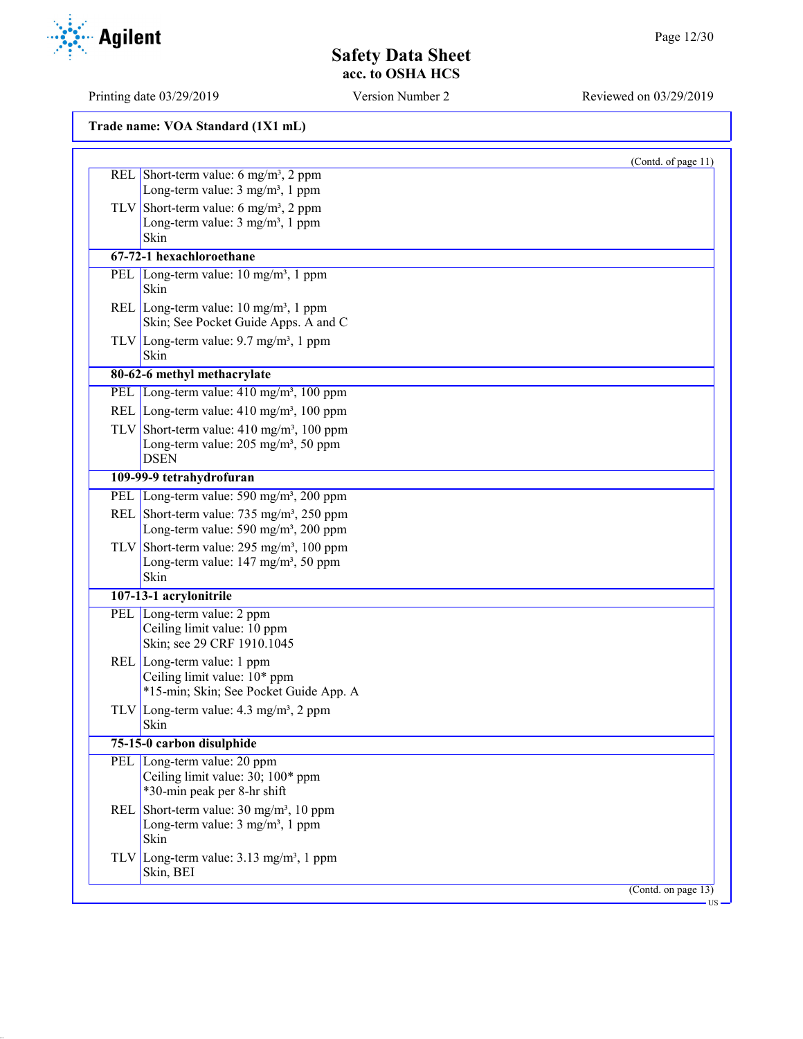(Contd. of page 11)

## **Safety Data Sheet acc. to OSHA HCS**

Printing date 03/29/2019 Version Number 2 Reviewed on 03/29/2019

**Trade name: VOA Standard (1X1 mL)** REL Short-term value:  $6 \text{ mg/m}^3$ ,  $2 \text{ ppm}$ Long-term value:  $3 \text{ mg/m}^3$ , 1 ppm

> TLV Short-term value: 6 mg/m<sup>3</sup>, 2 ppm Long-term value: 3 mg/m<sup>3</sup>, 1 ppm Skin

**67-72-1 hexachloroethane** PEL Long-term value: 10 mg/m<sup>3</sup>, 1 ppm Skin REL Long-term value:  $10 \text{ mg/m}^3$ , 1 ppm Skin; See Pocket Guide Apps. A and C

TLV Long-term value:  $9.7 \text{ mg/m}^3$ , 1 ppm Skin

### **80-62-6 methyl methacrylate**

PEL Long-term value: 410 mg/m<sup>3</sup>, 100 ppm REL Long-term value: 410 mg/m<sup>3</sup>, 100 ppm

TLV Short-term value:  $410 \text{ mg/m}^3$ , 100 ppm Long-term value: 205 mg/m<sup>3</sup>, 50 ppm DSEN

- **109-99-9 tetrahydrofuran** PEL Long-term value: 590 mg/m<sup>3</sup>, 200 ppm
- REL Short-term value: 735 mg/m<sup>3</sup>, 250 ppm Long-term value: 590 mg/m<sup>3</sup>, 200 ppm
- TLV Short-term value: 295 mg/m<sup>3</sup>, 100 ppm Long-term value:  $147 \text{ mg/m}^3$ , 50 ppm Skin
- **107-13-1 acrylonitrile** PEL Long-term value: 2 ppm Ceiling limit value: 10 ppm
- Skin; see 29 CRF 1910.1045 REL Long-term value: 1 ppm
	- Ceiling limit value: 10\* ppm \*15-min; Skin; See Pocket Guide App. A
- TLV Long-term value:  $4.3 \text{ mg/m}^3$ , 2 ppm Skin
	- **75-15-0 carbon disulphide** PEL Long-term value: 20 ppm Ceiling limit value: 30; 100\* ppm

\*30-min peak per 8-hr shift

REL Short-term value:  $30 \text{ mg/m}^3$ ,  $10 \text{ ppm}$ Long-term value:  $3 \text{ mg/m}^3$ , 1 ppm Skin

TLV Long-term value:  $3.13 \text{ mg/m}^3$ , 1 ppm Skin, BEI

(Contd. on page 13)

US

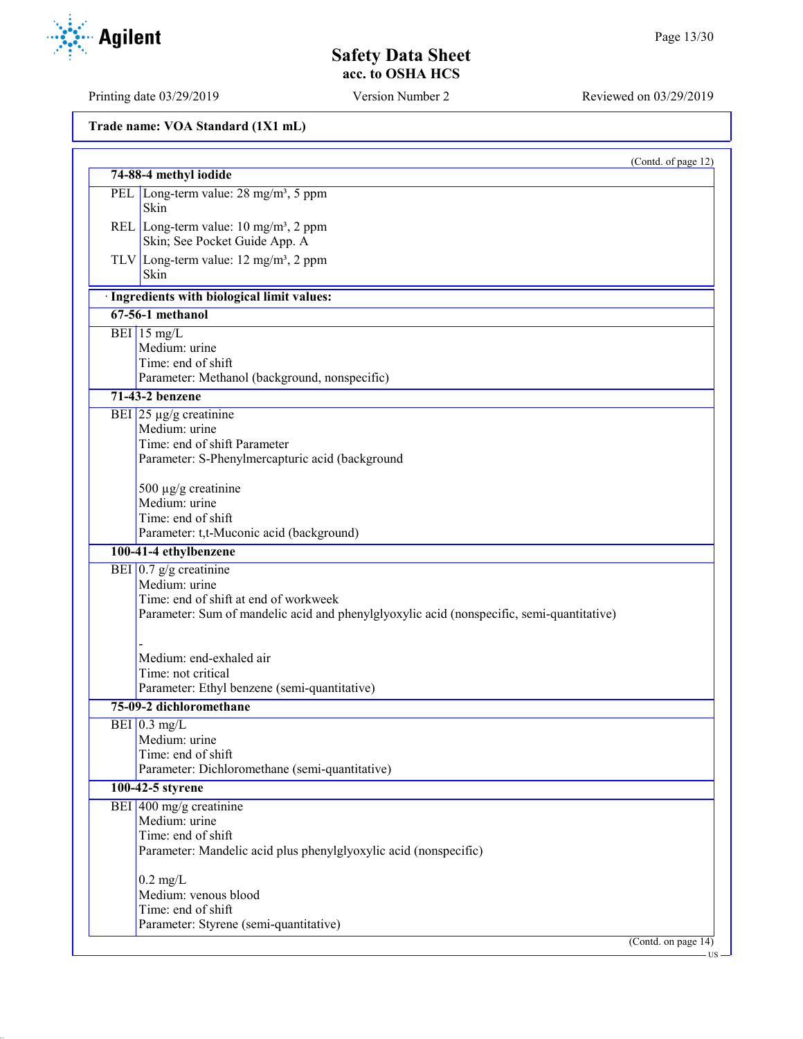| Trade name: VOA Standard (1X1 mL) |  |  |  |  |
|-----------------------------------|--|--|--|--|
|-----------------------------------|--|--|--|--|

|     | 74-88-4 methyl iodide                                                                     | (Contd. of page 12) |
|-----|-------------------------------------------------------------------------------------------|---------------------|
| PEL | Long-term value: $28 \text{ mg/m}^3$ , 5 ppm                                              |                     |
|     | Skin                                                                                      |                     |
|     | REL Long-term value: $10 \text{ mg/m}^3$ , 2 ppm                                          |                     |
|     | Skin; See Pocket Guide App. A                                                             |                     |
|     | TLV Long-term value: $12 \text{ mg/m}^3$ , 2 ppm<br>Skin                                  |                     |
|     | · Ingredients with biological limit values:                                               |                     |
|     | $67-56-1$ methanol                                                                        |                     |
|     | BEI $15 \text{ mg/L}$                                                                     |                     |
|     | Medium: urine                                                                             |                     |
|     | Time: end of shift<br>Parameter: Methanol (background, nonspecific)                       |                     |
|     | 71-43-2 benzene                                                                           |                     |
|     | BEI $25 \mu g/g$ creatinine                                                               |                     |
|     | Medium: urine                                                                             |                     |
|     | Time: end of shift Parameter                                                              |                     |
|     | Parameter: S-Phenylmercapturic acid (background                                           |                     |
|     |                                                                                           |                     |
|     | 500 µg/g creatinine                                                                       |                     |
|     | Medium: urine<br>Time: end of shift                                                       |                     |
|     | Parameter: t,t-Muconic acid (background)                                                  |                     |
|     | 100-41-4 ethylbenzene                                                                     |                     |
|     | BEI $0.7$ g/g creatinine                                                                  |                     |
|     | Medium: urine                                                                             |                     |
|     | Time: end of shift at end of workweek                                                     |                     |
|     | Parameter: Sum of mandelic acid and phenylglyoxylic acid (nonspecific, semi-quantitative) |                     |
|     |                                                                                           |                     |
|     | Medium: end-exhaled air                                                                   |                     |
|     | Time: not critical                                                                        |                     |
|     | Parameter: Ethyl benzene (semi-quantitative)                                              |                     |
|     | 75-09-2 dichloromethane                                                                   |                     |
|     | BEI $0.3$ mg/L                                                                            |                     |
|     | Medium: urine<br>Time: end of shift                                                       |                     |
|     | Parameter: Dichloromethane (semi-quantitative)                                            |                     |
|     | 100-42-5 styrene                                                                          |                     |
|     | BEI 400 mg/g creatinine                                                                   |                     |
|     | Medium: urine                                                                             |                     |
|     | Time: end of shift                                                                        |                     |
|     | Parameter: Mandelic acid plus phenylglyoxylic acid (nonspecific)                          |                     |
|     | $0.2 \text{ mg/L}$                                                                        |                     |
|     | Medium: venous blood                                                                      |                     |
|     | Time: end of shift                                                                        |                     |
|     | Parameter: Styrene (semi-quantitative)                                                    |                     |
|     |                                                                                           | (Contd. on page 14) |

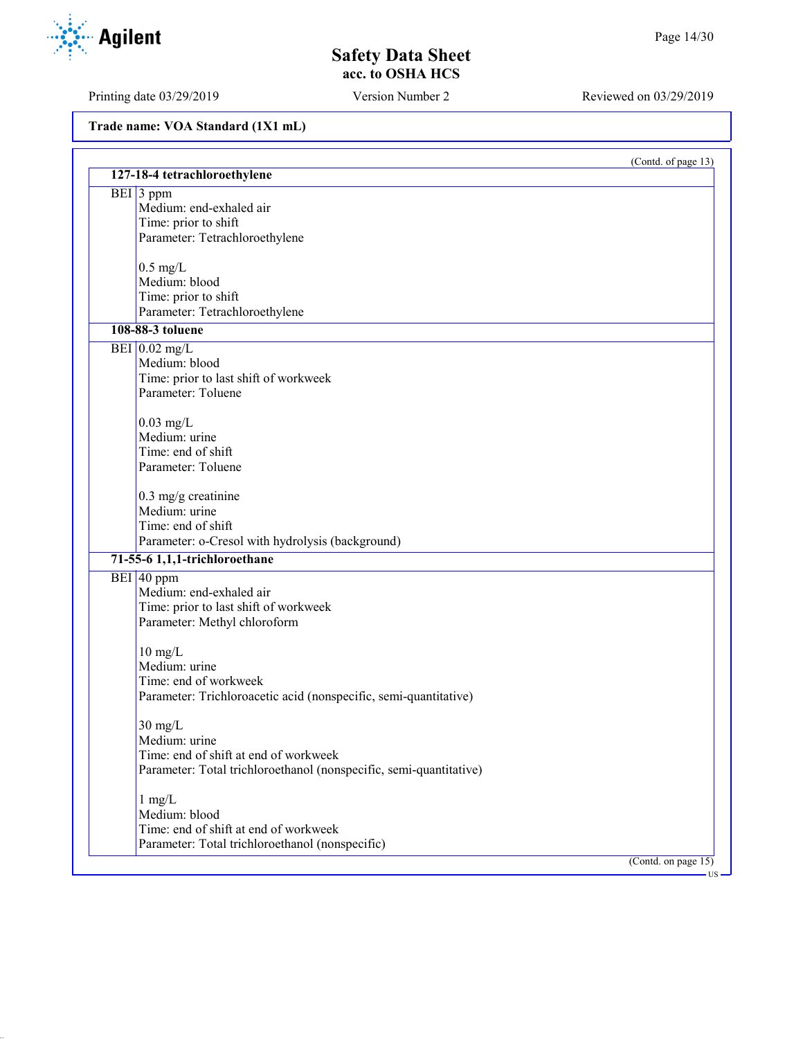Printing date 03/29/2019 Version Number 2 Reviewed on 03/29/2019

|                                                                    | (Contd. of page 13)    |
|--------------------------------------------------------------------|------------------------|
| 127-18-4 tetrachloroethylene                                       |                        |
| BEI 3 ppm                                                          |                        |
| Medium: end-exhaled air                                            |                        |
| Time: prior to shift                                               |                        |
| Parameter: Tetrachloroethylene                                     |                        |
| $0.5$ mg/L                                                         |                        |
| Medium: blood                                                      |                        |
| Time: prior to shift                                               |                        |
| Parameter: Tetrachloroethylene                                     |                        |
| 108-88-3 toluene                                                   |                        |
| BEI $0.02$ mg/L                                                    |                        |
| Medium: blood                                                      |                        |
| Time: prior to last shift of workweek                              |                        |
| Parameter: Toluene                                                 |                        |
|                                                                    |                        |
| $0.03$ mg/L<br>Medium: urine                                       |                        |
| Time: end of shift                                                 |                        |
| Parameter: Toluene                                                 |                        |
|                                                                    |                        |
| $0.3$ mg/g creatinine                                              |                        |
| Medium: urine                                                      |                        |
| Time: end of shift                                                 |                        |
| Parameter: o-Cresol with hydrolysis (background)                   |                        |
| 71-55-6 1,1,1-trichloroethane                                      |                        |
| BEI 40 ppm                                                         |                        |
| Medium: end-exhaled air                                            |                        |
| Time: prior to last shift of workweek                              |                        |
| Parameter: Methyl chloroform                                       |                        |
| $10 \text{ mg/L}$                                                  |                        |
| Medium: urine                                                      |                        |
| Time: end of workweek                                              |                        |
| Parameter: Trichloroacetic acid (nonspecific, semi-quantitative)   |                        |
|                                                                    |                        |
| $30 \text{ mg/L}$                                                  |                        |
| Medium: urine                                                      |                        |
| Time: end of shift at end of workweek                              |                        |
| Parameter: Total trichloroethanol (nonspecific, semi-quantitative) |                        |
| $1$ mg/L                                                           |                        |
| Medium: blood                                                      |                        |
| Time: end of shift at end of workweek                              |                        |
| Parameter: Total trichloroethanol (nonspecific)                    |                        |
|                                                                    | (Contd. on page $15$ ) |

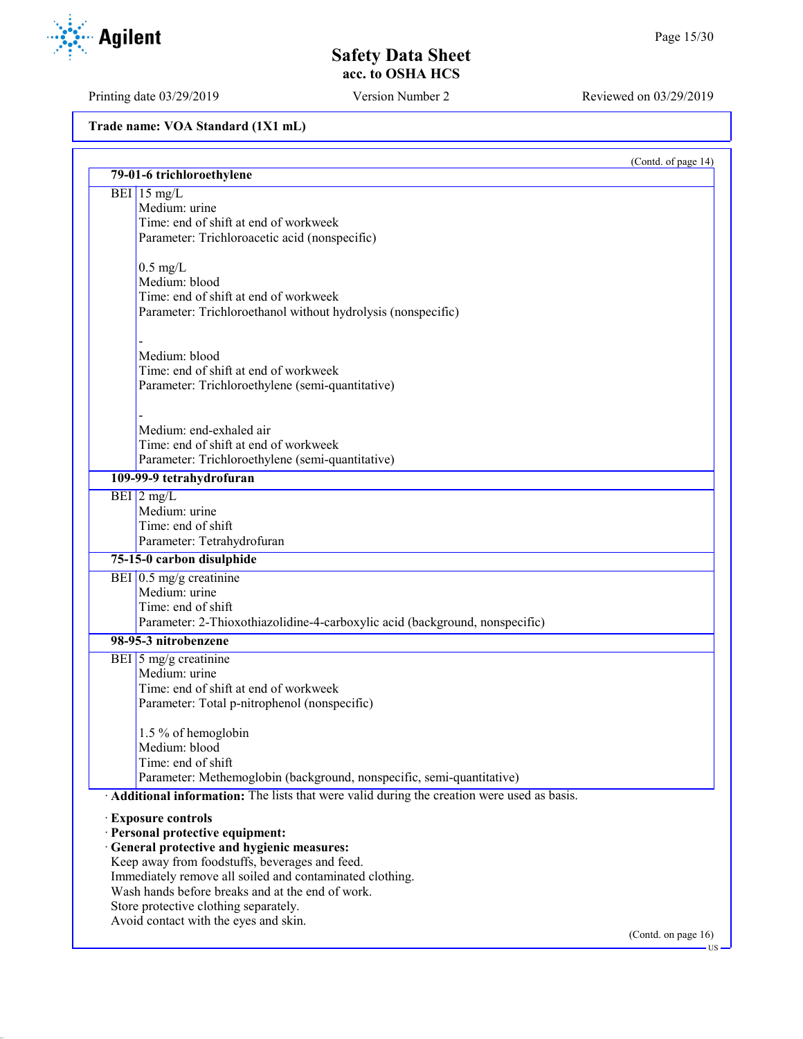# **Safety Data Sheet acc. to OSHA HCS**

Printing date 03/29/2019 Version Number 2 Reviewed on 03/29/2019

|                                                                                               |                                                                                           | (Contd. of page 14) |
|-----------------------------------------------------------------------------------------------|-------------------------------------------------------------------------------------------|---------------------|
| 79-01-6 trichloroethylene                                                                     |                                                                                           |                     |
| BEI 15 mg/L<br>Medium: urine                                                                  |                                                                                           |                     |
| Time: end of shift at end of workweek                                                         |                                                                                           |                     |
| Parameter: Trichloroacetic acid (nonspecific)                                                 |                                                                                           |                     |
|                                                                                               |                                                                                           |                     |
| $0.5 \text{ mg/L}$<br>Medium: blood                                                           |                                                                                           |                     |
| Time: end of shift at end of workweek                                                         |                                                                                           |                     |
|                                                                                               | Parameter: Trichloroethanol without hydrolysis (nonspecific)                              |                     |
|                                                                                               |                                                                                           |                     |
| Medium: blood                                                                                 |                                                                                           |                     |
| Time: end of shift at end of workweek<br>Parameter: Trichloroethylene (semi-quantitative)     |                                                                                           |                     |
|                                                                                               |                                                                                           |                     |
| Medium: end-exhaled air                                                                       |                                                                                           |                     |
| Time: end of shift at end of workweek                                                         |                                                                                           |                     |
| Parameter: Trichloroethylene (semi-quantitative)                                              |                                                                                           |                     |
| 109-99-9 tetrahydrofuran                                                                      |                                                                                           |                     |
| $BEI$ 2 mg/L                                                                                  |                                                                                           |                     |
| Medium: urine<br>Time: end of shift                                                           |                                                                                           |                     |
| Parameter: Tetrahydrofuran                                                                    |                                                                                           |                     |
| 75-15-0 carbon disulphide                                                                     |                                                                                           |                     |
| BEI $0.5 \text{ mg/g}$ creatinine                                                             |                                                                                           |                     |
| Medium: urine                                                                                 |                                                                                           |                     |
| Time: end of shift                                                                            |                                                                                           |                     |
|                                                                                               | Parameter: 2-Thioxothiazolidine-4-carboxylic acid (background, nonspecific)               |                     |
| 98-95-3 nitrobenzene                                                                          |                                                                                           |                     |
| BEI $\frac{5 \text{ mg}}{9}$ creatinine                                                       |                                                                                           |                     |
| Medium: urine<br>Time: end of shift at end of workweek                                        |                                                                                           |                     |
| Parameter: Total p-nitrophenol (nonspecific)                                                  |                                                                                           |                     |
|                                                                                               |                                                                                           |                     |
| 1.5 % of hemoglobin                                                                           |                                                                                           |                     |
| Medium: blood                                                                                 |                                                                                           |                     |
| Time: end of shift                                                                            |                                                                                           |                     |
|                                                                                               | Parameter: Methemoglobin (background, nonspecific, semi-quantitative)                     |                     |
|                                                                                               | Additional information: The lists that were valid during the creation were used as basis. |                     |
| <b>Exposure controls</b>                                                                      |                                                                                           |                     |
| · Personal protective equipment:                                                              |                                                                                           |                     |
| · General protective and hygienic measures:<br>Keep away from foodstuffs, beverages and feed. |                                                                                           |                     |
| Immediately remove all soiled and contaminated clothing.                                      |                                                                                           |                     |
| Wash hands before breaks and at the end of work.                                              |                                                                                           |                     |
| Store protective clothing separately.                                                         |                                                                                           |                     |
| Avoid contact with the eyes and skin.                                                         |                                                                                           |                     |
|                                                                                               |                                                                                           | (Contd. on page 16) |

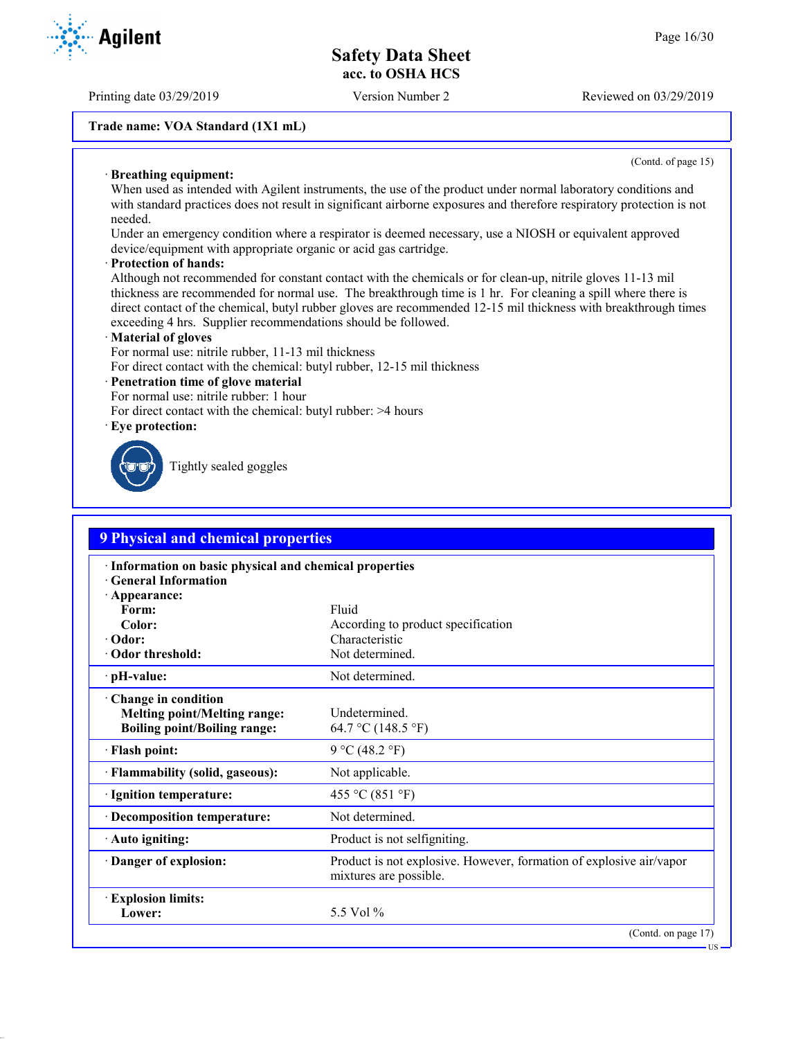Printing date 03/29/2019 Version Number 2 Reviewed on 03/29/2019

#### **Trade name: VOA Standard (1X1 mL)**

(Contd. of page 15)

#### · **Breathing equipment:**

When used as intended with Agilent instruments, the use of the product under normal laboratory conditions and with standard practices does not result in significant airborne exposures and therefore respiratory protection is not needed.

Under an emergency condition where a respirator is deemed necessary, use a NIOSH or equivalent approved device/equipment with appropriate organic or acid gas cartridge.

#### · **Protection of hands:**

Although not recommended for constant contact with the chemicals or for clean-up, nitrile gloves 11-13 mil thickness are recommended for normal use. The breakthrough time is 1 hr. For cleaning a spill where there is direct contact of the chemical, butyl rubber gloves are recommended 12-15 mil thickness with breakthrough times exceeding 4 hrs. Supplier recommendations should be followed.

#### · **Material of gloves**

For normal use: nitrile rubber, 11-13 mil thickness

For direct contact with the chemical: butyl rubber, 12-15 mil thickness

#### · **Penetration time of glove material**

For normal use: nitrile rubber: 1 hour

For direct contact with the chemical: butyl rubber: >4 hours

· **Eye protection:**



Tightly sealed goggles

| <b>9 Physical and chemical properties</b>                                                         |                                                                                               |  |
|---------------------------------------------------------------------------------------------------|-----------------------------------------------------------------------------------------------|--|
| · Information on basic physical and chemical properties<br><b>General Information</b>             |                                                                                               |  |
| · Appearance:<br>Form:                                                                            | Fluid                                                                                         |  |
| Color:                                                                                            | According to product specification                                                            |  |
| · Odor:                                                                                           | Characteristic                                                                                |  |
| · Odor threshold:                                                                                 | Not determined.                                                                               |  |
| · pH-value:                                                                                       | Not determined.                                                                               |  |
| Change in condition<br><b>Melting point/Melting range:</b><br><b>Boiling point/Boiling range:</b> | Undetermined.<br>64.7 °C (148.5 °F)                                                           |  |
| · Flash point:                                                                                    | 9 °C (48.2 °F)                                                                                |  |
| · Flammability (solid, gaseous):                                                                  | Not applicable.                                                                               |  |
| · Ignition temperature:                                                                           | 455 °C (851 °F)                                                                               |  |
| · Decomposition temperature:                                                                      | Not determined.                                                                               |  |
| · Auto igniting:                                                                                  | Product is not selfigniting.                                                                  |  |
| Danger of explosion:                                                                              | Product is not explosive. However, formation of explosive air/vapor<br>mixtures are possible. |  |
| <b>Explosion limits:</b>                                                                          |                                                                                               |  |
| Lower:                                                                                            | 5.5 Vol %                                                                                     |  |
|                                                                                                   | (Contd. on page 17)                                                                           |  |

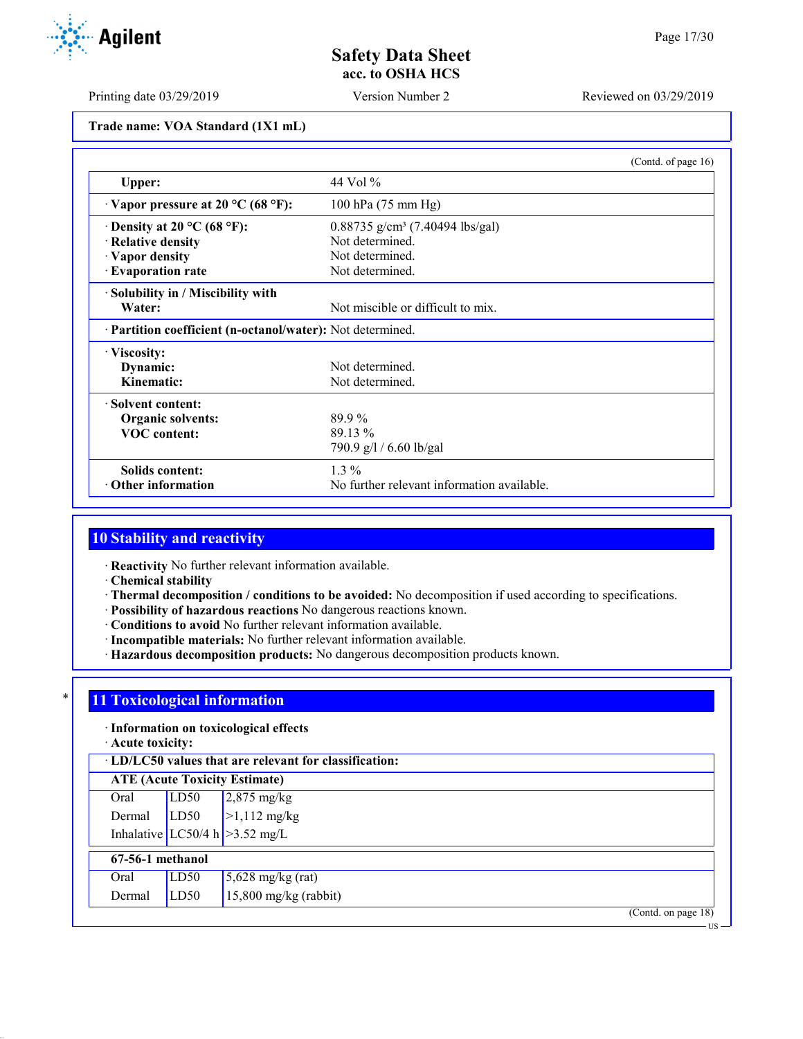Printing date 03/29/2019 Version Number 2 Reviewed on 03/29/2019

**Trade name: VOA Standard (1X1 mL)**

|                                                            |                                               | (Contd. of page $16$ ) |
|------------------------------------------------------------|-----------------------------------------------|------------------------|
| Upper:                                                     | 44 Vol $\%$                                   |                        |
| $\cdot$ Vapor pressure at 20 °C (68 °F):                   | 100 hPa (75 mm Hg)                            |                        |
| $\cdot$ Density at 20 °C (68 °F):                          | $0.88735$ g/cm <sup>3</sup> (7.40494 lbs/gal) |                        |
| · Relative density                                         | Not determined.                               |                        |
| · Vapor density                                            | Not determined.                               |                        |
| · Evaporation rate                                         | Not determined.                               |                        |
| · Solubility in / Miscibility with                         |                                               |                        |
| Water:                                                     | Not miscible or difficult to mix.             |                        |
| · Partition coefficient (n-octanol/water): Not determined. |                                               |                        |
| · Viscosity:                                               |                                               |                        |
| Dynamic:                                                   | Not determined.                               |                        |
| Kinematic:                                                 | Not determined.                               |                        |
| · Solvent content:                                         |                                               |                        |
| <b>Organic solvents:</b>                                   | 89.9%                                         |                        |
| <b>VOC</b> content:                                        | 89.13 %                                       |                        |
|                                                            | 790.9 g/l / 6.60 lb/gal                       |                        |
| Solids content:                                            | $1.3\%$                                       |                        |
| <b>Other information</b>                                   | No further relevant information available.    |                        |

## **10 Stability and reactivity**

· **Reactivity** No further relevant information available.

· **Chemical stability**

- · **Thermal decomposition / conditions to be avoided:** No decomposition if used according to specifications.
- · **Possibility of hazardous reactions** No dangerous reactions known.
- · **Conditions to avoid** No further relevant information available.
- · **Incompatible materials:** No further relevant information available.
- · **Hazardous decomposition products:** No dangerous decomposition products known.

### \* **11 Toxicological information**

### · **Information on toxicological effects**

· **Acute toxicity:**

| $\cdot$ LD/LC50 values that are relevant for classification: |      |                                       |  |  |
|--------------------------------------------------------------|------|---------------------------------------|--|--|
| <b>ATE</b> (Acute Toxicity Estimate)                         |      |                                       |  |  |
| Oral                                                         | LD50 | $2,875 \text{ mg/kg}$<br>>1,112 mg/kg |  |  |
| Dermal                                                       | LD50 |                                       |  |  |
|                                                              |      | Inhalative LC50/4 h $>3.52$ mg/L      |  |  |
| 67-56-1 methanol                                             |      |                                       |  |  |
| Oral                                                         | LD50 | $5,628$ mg/kg (rat)                   |  |  |
| Dermal                                                       | LD50 | $15,800$ mg/kg (rabbit)               |  |  |

(Contd. on page 18)



US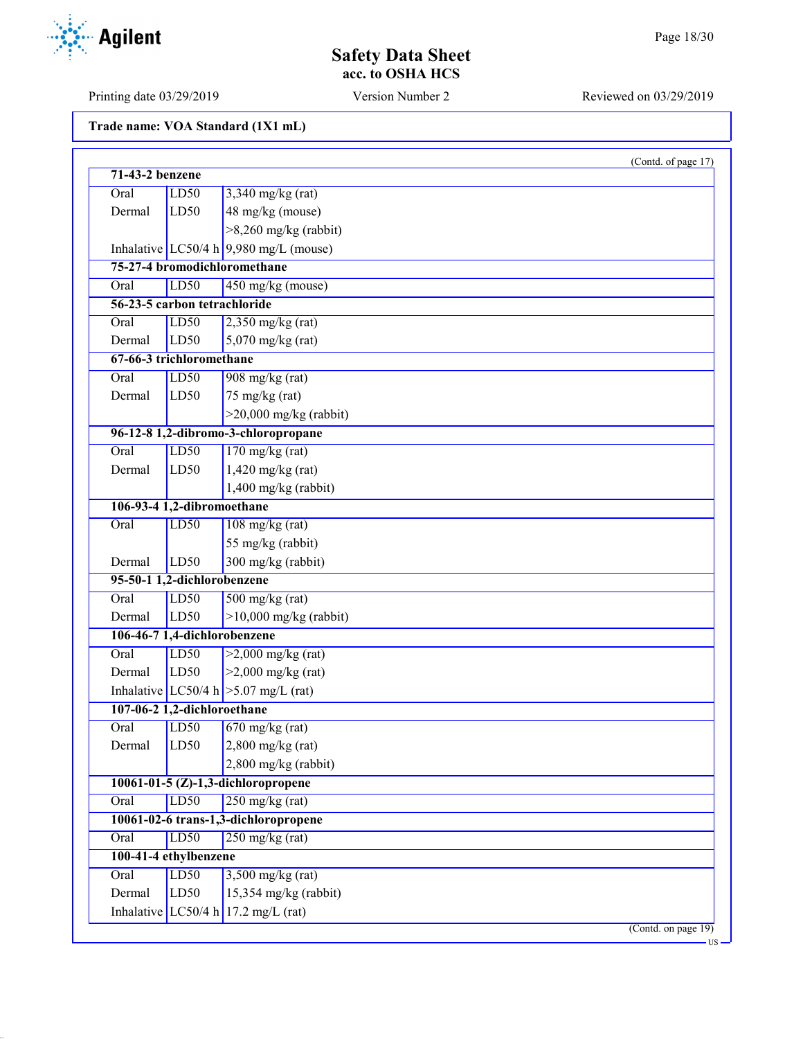### **Safety Data Sheet acc. to OSHA HCS**

| Trade name: VOA Standard (1X1 mL) |  |  |
|-----------------------------------|--|--|
|-----------------------------------|--|--|

|        |                              |                                          | (Contd. of page 17)       |  |  |
|--------|------------------------------|------------------------------------------|---------------------------|--|--|
|        | 71-43-2 benzene              |                                          |                           |  |  |
| Oral   | LD50                         | $3,340$ mg/kg (rat)                      |                           |  |  |
| Dermal | LD50                         | 48 mg/kg (mouse)                         |                           |  |  |
|        |                              | $>8,260$ mg/kg (rabbit)                  |                           |  |  |
|        |                              | Inhalative LC50/4 h $9,980$ mg/L (mouse) |                           |  |  |
|        |                              | 75-27-4 bromodichloromethane             |                           |  |  |
| Oral   | LD50                         | 450 mg/kg (mouse)                        |                           |  |  |
|        | 56-23-5 carbon tetrachloride |                                          |                           |  |  |
| Oral   | LD50                         | $2,350$ mg/kg (rat)                      |                           |  |  |
| Dermal | LD50                         | $5,070$ mg/kg (rat)                      |                           |  |  |
|        | 67-66-3 trichloromethane     |                                          |                           |  |  |
| Oral   | LD50                         | $908$ mg/kg (rat)                        |                           |  |  |
| Dermal | LD50                         | $75 \text{ mg/kg}$ (rat)                 |                           |  |  |
|        |                              | $>20,000$ mg/kg (rabbit)                 |                           |  |  |
|        |                              | 96-12-8 1,2-dibromo-3-chloropropane      |                           |  |  |
| Oral   | LD50                         | $170$ mg/kg (rat)                        |                           |  |  |
| Dermal | LD50                         | $1,420$ mg/kg (rat)                      |                           |  |  |
|        |                              | 1,400 mg/kg (rabbit)                     |                           |  |  |
|        | 106-93-4 1,2-dibromoethane   |                                          |                           |  |  |
| Oral   | LD50                         | $108 \text{ mg/kg}$ (rat)                |                           |  |  |
|        |                              | 55 mg/kg (rabbit)                        |                           |  |  |
| Dermal | LD50                         | 300 mg/kg (rabbit)                       |                           |  |  |
|        | 95-50-1 1,2-dichlorobenzene  |                                          |                           |  |  |
| Oral   | LD50                         | $500$ mg/kg (rat)                        |                           |  |  |
| Dermal | LD50                         | $>10,000$ mg/kg (rabbit)                 |                           |  |  |
|        |                              | 106-46-7 1,4-dichlorobenzene             |                           |  |  |
| Oral   | LD50                         | $>2,000$ mg/kg (rat)                     |                           |  |  |
| Dermal | LD50                         | $>2,000$ mg/kg (rat)                     |                           |  |  |
|        |                              | Inhalative LC50/4 h $>5.07$ mg/L (rat)   |                           |  |  |
|        | 107-06-2 1,2-dichloroethane  |                                          |                           |  |  |
| Oral   | LD50                         | $670$ mg/kg (rat)                        |                           |  |  |
| Dermal | LD50                         | $2,800$ mg/kg (rat)                      |                           |  |  |
|        |                              | $2,800$ mg/kg (rabbit)                   |                           |  |  |
|        |                              | 10061-01-5 $(Z)$ -1,3-dichloropropene    |                           |  |  |
| Oral   | LD50                         | $250$ mg/kg (rat)                        |                           |  |  |
|        |                              | 10061-02-6 trans-1,3-dichloropropene     |                           |  |  |
| Oral   | LD50                         | $250$ mg/kg (rat)                        |                           |  |  |
|        | 100-41-4 ethylbenzene        |                                          |                           |  |  |
| Oral   | LD50                         | $3,500$ mg/kg (rat)                      |                           |  |  |
| Dermal | LD50                         | $15,354$ mg/kg (rabbit)                  |                           |  |  |
|        | Inhalative $LC50/4 h$        | $17.2 \text{ mg/L (rat)}$                |                           |  |  |
|        |                              |                                          | $($ Contd. on page 19 $)$ |  |  |

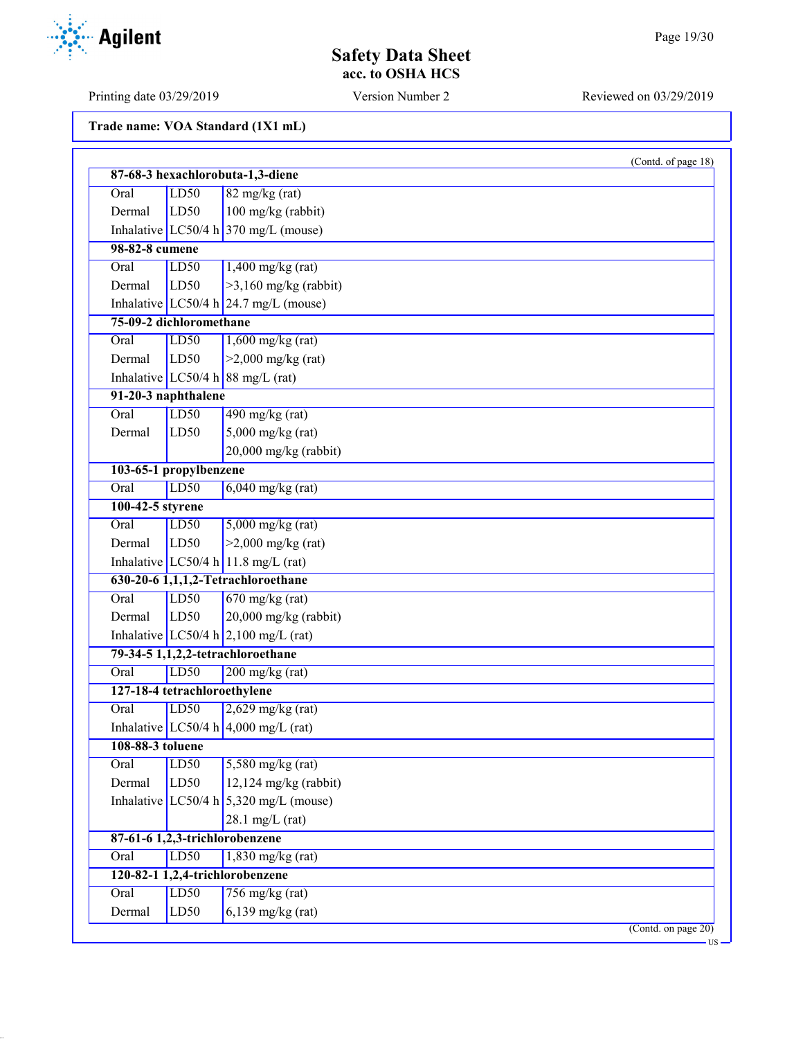### **Safety Data Sheet acc. to OSHA HCS**

| Trade name: VOA Standard (1X1 mL) |  |  |
|-----------------------------------|--|--|
|-----------------------------------|--|--|

|                              |      | (Contd. of page 18)                             |
|------------------------------|------|-------------------------------------------------|
|                              |      | 87-68-3 hexachlorobuta-1,3-diene                |
| Oral                         | LD50 | $82$ mg/kg (rat)                                |
| Dermal                       | LD50 | 100 mg/kg (rabbit)                              |
|                              |      | Inhalative LC50/4 h 370 mg/L (mouse)            |
| 98-82-8 cumene               |      |                                                 |
| Oral                         | LD50 | $1,400$ mg/kg (rat)                             |
| Dermal                       | LD50 | $>3,160$ mg/kg (rabbit)                         |
|                              |      | Inhalative LC50/4 h $24.7 \text{ mg/L}$ (mouse) |
| 75-09-2 dichloromethane      |      |                                                 |
| Oral                         | LD50 | $1,600$ mg/kg (rat)                             |
| Dermal                       | LD50 | $>2,000$ mg/kg (rat)                            |
|                              |      | Inhalative $LC50/4 h$ 88 mg/L (rat)             |
| 91-20-3 naphthalene          |      |                                                 |
| Oral                         | LD50 | $490$ mg/kg (rat)                               |
| Dermal                       | LD50 | $5,000$ mg/kg (rat)                             |
|                              |      | $20,000$ mg/kg (rabbit)                         |
| 103-65-1 propylbenzene       |      |                                                 |
| Oral                         | LD50 | $6,040$ mg/kg (rat)                             |
| 100-42-5 styrene             |      |                                                 |
| Oral                         | LD50 | $5,000$ mg/kg (rat)                             |
| Dermal                       | LD50 | $>2,000$ mg/kg (rat)                            |
|                              |      | Inhalative LC50/4 h 11.8 mg/L (rat)             |
|                              |      | 630-20-6 1,1,1,2-Tetrachloroethane              |
| Oral                         | LD50 | $670$ mg/kg (rat)                               |
| Dermal                       | LD50 | 20,000 mg/kg (rabbit)                           |
|                              |      | Inhalative LC50/4 h $2,100$ mg/L (rat)          |
|                              |      | 79-34-5 1,1,2,2-tetrachloroethane               |
| Oral                         | LD50 | $200$ mg/kg (rat)                               |
| 127-18-4 tetrachloroethylene |      |                                                 |
| Oral                         | LD50 | $2,629$ mg/kg (rat)                             |
|                              |      | Inhalative LC50/4 h 4,000 mg/L (rat)            |
| 108-88-3 toluene             |      |                                                 |
| Oral                         | LD50 | $5,580$ mg/kg (rat)                             |
| Dermal                       | LD50 | $12,124$ mg/kg (rabbit)                         |
|                              |      | Inhalative LC50/4 h $5,320$ mg/L (mouse)        |
|                              |      | $28.1$ mg/L (rat)                               |
|                              |      | 87-61-6 1,2,3-trichlorobenzene                  |
| Oral                         | LD50 | $1,830$ mg/kg (rat)                             |
|                              |      | 120-82-1 1,2,4-trichlorobenzene                 |
| Oral                         | LD50 | $756$ mg/kg (rat)                               |
| Dermal                       | LD50 | $6,139$ mg/kg (rat)                             |
|                              |      | (Contd. on page 20)                             |

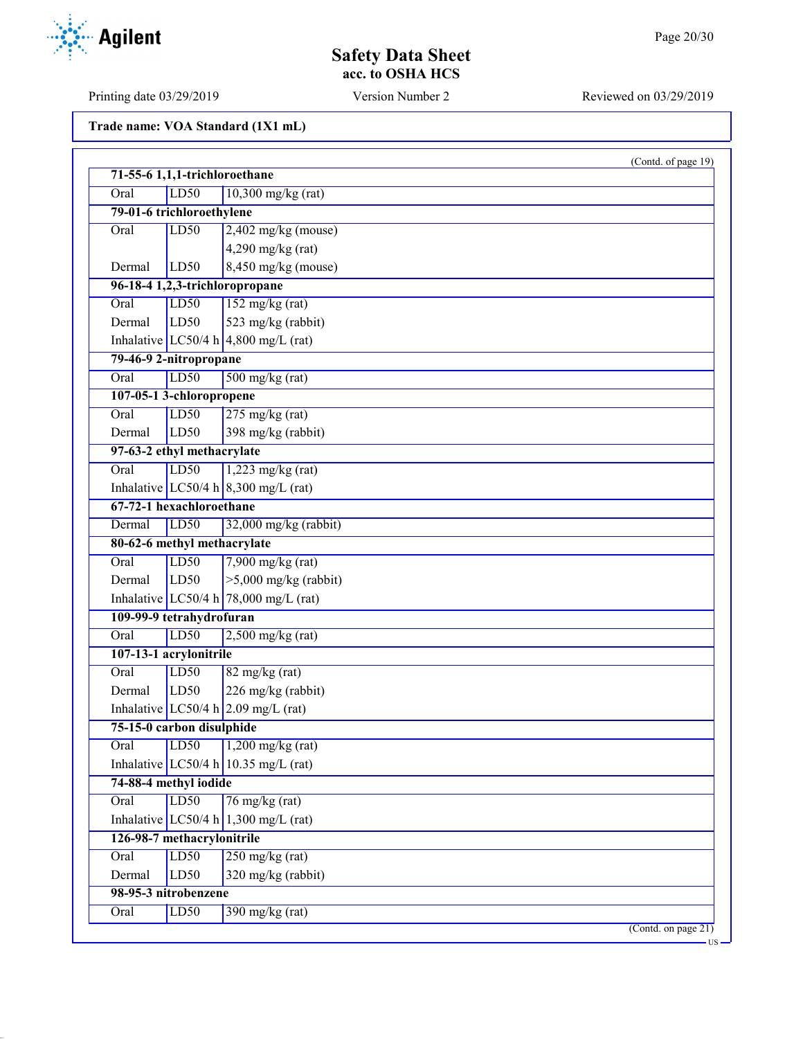### **Safety Data Sheet acc. to OSHA HCS**

| Trade name: VOA Standard (1X1 mL) |  |  |  |  |
|-----------------------------------|--|--|--|--|
|-----------------------------------|--|--|--|--|

| 71-55-6 1,1,1-trichloroethane |      |                                                       | (Contd. of page 19) |
|-------------------------------|------|-------------------------------------------------------|---------------------|
| Oral                          | LD50 | $10,300$ mg/kg (rat)                                  |                     |
| 79-01-6 trichloroethylene     |      |                                                       |                     |
| Oral                          | LD50 | $2,402$ mg/kg (mouse)                                 |                     |
|                               |      | $4,290$ mg/kg (rat)                                   |                     |
| Dermal                        | LD50 | $8,450$ mg/kg (mouse)                                 |                     |
|                               |      | 96-18-4 1,2,3-trichloropropane                        |                     |
|                               |      |                                                       |                     |
| Oral                          | LD50 | $152$ mg/kg (rat)                                     |                     |
| Dermal                        | LD50 | 523 mg/kg (rabbit)                                    |                     |
|                               |      | Inhalative LC50/4 h $ 4,800 \text{ mg/L (rat)} $      |                     |
| 79-46-9 2-nitropropane        |      |                                                       |                     |
| Oral                          | LD50 | $500$ mg/kg (rat)                                     |                     |
| 107-05-1 3-chloropropene      |      |                                                       |                     |
| Oral                          | LD50 | $275$ mg/kg (rat)                                     |                     |
| Dermal                        | LD50 | 398 mg/kg (rabbit)                                    |                     |
| 97-63-2 ethyl methacrylate    |      |                                                       |                     |
| Oral                          | LD50 | $1,223$ mg/kg (rat)                                   |                     |
|                               |      | Inhalative LC50/4 h $\left  8,300 \right $ mg/L (rat) |                     |
| 67-72-1 hexachloroethane      |      |                                                       |                     |
| Dermal                        | LD50 | 32,000 mg/kg (rabbit)                                 |                     |
| 80-62-6 methyl methacrylate   |      |                                                       |                     |
| Oral                          | LD50 | $7,900$ mg/kg (rat)                                   |                     |
| Dermal                        | LD50 | $>5,000$ mg/kg (rabbit)                               |                     |
|                               |      | Inhalative LC50/4 h $78,000 \text{ mg/L (rat)}$       |                     |
| 109-99-9 tetrahydrofuran      |      |                                                       |                     |
| Oral                          | LD50 | $2,500$ mg/kg (rat)                                   |                     |
| 107-13-1 acrylonitrile        |      |                                                       |                     |
| Oral                          | LD50 | $82$ mg/kg (rat)                                      |                     |
| Dermal                        | LD50 | 226 mg/kg (rabbit)                                    |                     |
|                               |      | Inhalative LC50/4 h $2.09$ mg/L (rat)                 |                     |
| 75-15-0 carbon disulphide     |      |                                                       |                     |
| Oral                          | LD50 | $1,200$ mg/kg (rat)                                   |                     |
|                               |      | Inhalative LC50/4 h 10.35 mg/L (rat)                  |                     |
| 74-88-4 methyl iodide         |      |                                                       |                     |
| Oral                          | LD50 | $76$ mg/kg (rat)                                      |                     |
|                               |      | Inhalative LC50/4 h 1,300 mg/L (rat)                  |                     |
| 126-98-7 methacrylonitrile    |      |                                                       |                     |
| Oral                          | LD50 | $250$ mg/kg (rat)                                     |                     |
| Dermal                        | LD50 |                                                       |                     |
|                               |      | 320 mg/kg (rabbit)                                    |                     |
| 98-95-3 nitrobenzene          |      |                                                       |                     |
| Oral                          | LD50 | $390$ mg/kg (rat)                                     | (Contd. on page 21) |

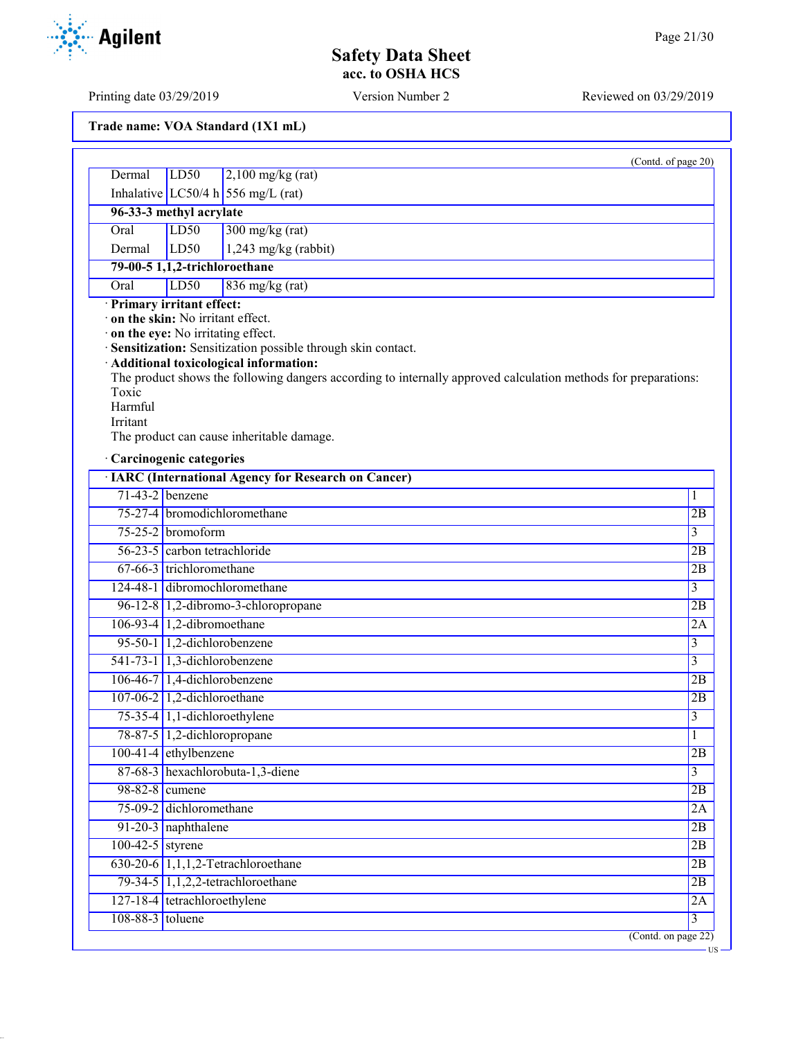### **Safety Data Sheet acc. to OSHA HCS**

| Trade name: VOA Standard (1X1 mL) |  |  |  |  |
|-----------------------------------|--|--|--|--|
|-----------------------------------|--|--|--|--|

|                    |                                  |                                                                                                                | (Contd. of page 20)                          |
|--------------------|----------------------------------|----------------------------------------------------------------------------------------------------------------|----------------------------------------------|
| Dermal             | LD <sub>50</sub>                 | $2,100$ mg/kg (rat)                                                                                            |                                              |
|                    |                                  | Inhalative LC50/4 h 556 mg/L (rat)                                                                             |                                              |
|                    | 96-33-3 methyl acrylate          |                                                                                                                |                                              |
| Oral               | LD50                             | $300$ mg/kg (rat)                                                                                              |                                              |
| Dermal             | LD50                             | $1,243$ mg/kg (rabbit)                                                                                         |                                              |
|                    | 79-00-5 1,1,2-trichloroethane    |                                                                                                                |                                              |
| Oral               | LD50                             | $836$ mg/kg (rat)                                                                                              |                                              |
|                    | · Primary irritant effect:       |                                                                                                                |                                              |
|                    | on the skin: No irritant effect. |                                                                                                                |                                              |
|                    |                                  | on the eye: No irritating effect.<br>· Sensitization: Sensitization possible through skin contact.             |                                              |
|                    |                                  | Additional toxicological information:                                                                          |                                              |
|                    |                                  | The product shows the following dangers according to internally approved calculation methods for preparations: |                                              |
| Toxic              |                                  |                                                                                                                |                                              |
| Harmful            |                                  |                                                                                                                |                                              |
| Irritant           |                                  | The product can cause inheritable damage.                                                                      |                                              |
|                    |                                  |                                                                                                                |                                              |
|                    | · Carcinogenic categories        |                                                                                                                |                                              |
|                    |                                  | <b>· IARC (International Agency for Research on Cancer)</b>                                                    |                                              |
| $71-43-2$ benzene  |                                  |                                                                                                                | 1                                            |
|                    |                                  | 75-27-4 bromodichloromethane                                                                                   | 2B                                           |
|                    | $75-25-2$ bromoform              |                                                                                                                | $\overline{3}$                               |
|                    | 56-23-5 carbon tetrachloride     |                                                                                                                | 2B                                           |
|                    | 67-66-3 trichloromethane         |                                                                                                                | 2B                                           |
|                    |                                  | 124-48-1 dibromochloromethane                                                                                  | $\overline{3}$                               |
|                    |                                  | 96-12-8 1,2-dibromo-3-chloropropane                                                                            | 2B                                           |
|                    | $106-93-4$ 1,2-dibromoethane     |                                                                                                                | 2A                                           |
|                    | 95-50-1 1,2-dichlorobenzene      |                                                                                                                | $\overline{3}$                               |
|                    | $541-73-1$ 1,3-dichlorobenzene   |                                                                                                                | $\overline{3}$                               |
|                    | $106-46-7$ 1,4-dichlorobenzene   |                                                                                                                | 2B                                           |
|                    | 107-06-2 $1,2$ -dichloroethane   |                                                                                                                | 2B                                           |
|                    | $75-35-4$ 1,1-dichloroethylene   |                                                                                                                | $\overline{3}$                               |
|                    | 78-87-5 1,2-dichloropropane      |                                                                                                                | 1                                            |
|                    |                                  |                                                                                                                |                                              |
|                    | $100-41-4$ ethylbenzene          |                                                                                                                |                                              |
|                    |                                  | 87-68-3 hexachlorobuta-1,3-diene                                                                               | $\overline{3}$                               |
| 98-82-8 cumene     |                                  |                                                                                                                |                                              |
|                    | 75-09-2 dichloromethane          |                                                                                                                |                                              |
|                    | 91-20-3 naphthalene              |                                                                                                                |                                              |
| $100-42-5$ styrene |                                  |                                                                                                                |                                              |
|                    |                                  | $630-20-6$ 1,1,1,2-Tetrachloroethane                                                                           |                                              |
|                    |                                  | 79-34-5 1,1,2,2-tetrachloroethane                                                                              |                                              |
|                    | 127-18-4 tetrachloroethylene     |                                                                                                                | 2B<br>2B<br>2A<br>2B<br>2B<br>2B<br>2B<br>2A |

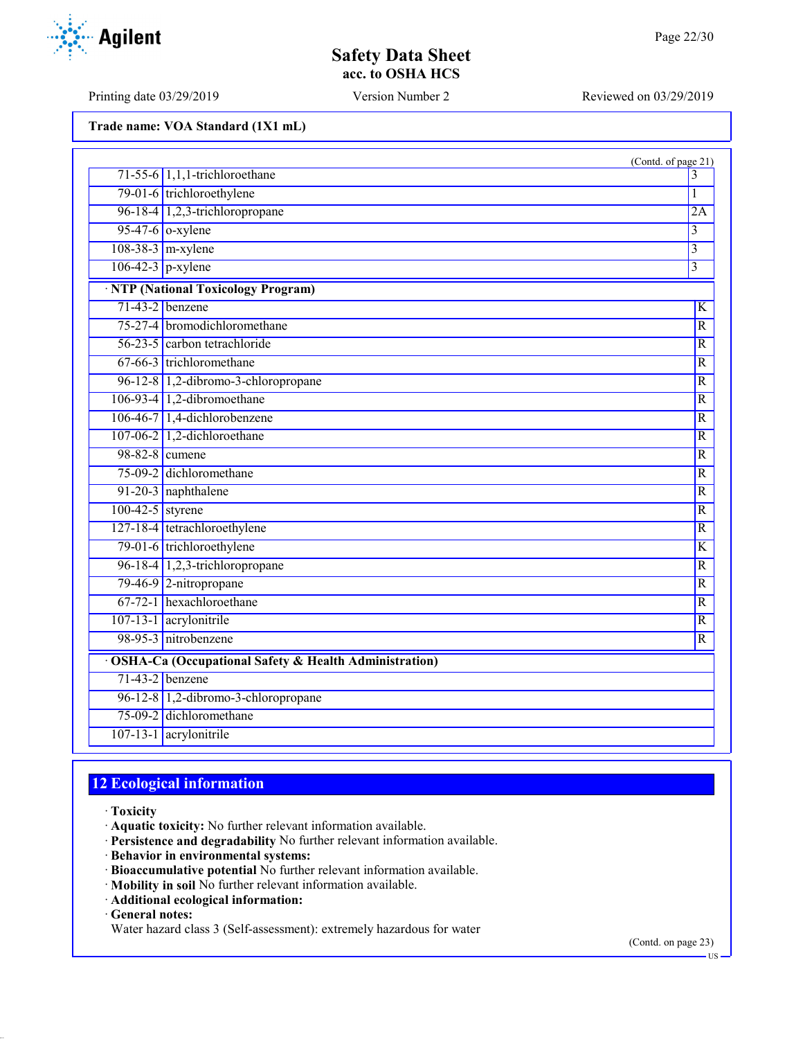Printing date 03/29/2019 Version Number 2 Reviewed on 03/29/2019

**Agilent** 

| Trade name: VOA Standard (1X1 mL) |  |  |  |  |
|-----------------------------------|--|--|--|--|
|-----------------------------------|--|--|--|--|

|                    |                                                         | (Contd. of page 21)       |
|--------------------|---------------------------------------------------------|---------------------------|
|                    | $71-55-6$ 1,1,1-trichloroethane                         | 3                         |
|                    | 79-01-6 trichloroethylene                               | 1                         |
|                    | 96-18-4 1,2,3-trichloropropane                          | 2A                        |
|                    | $95-47-6$ o-xylene                                      | $\overline{\mathbf{3}}$   |
|                    | $108-38-3$ m-xylene                                     | 3                         |
|                    | $\overline{106-42-3}$ p-xylene                          | $\overline{\overline{3}}$ |
|                    | · NTP (National Toxicology Program)                     |                           |
|                    | $71-43-2$ benzene                                       | K                         |
|                    | 75-27-4 bromodichloromethane                            | $\overline{R}$            |
|                    | 56-23-5 carbon tetrachloride                            | $\overline{R}$            |
|                    | 67-66-3 trichloromethane                                | $\overline{R}$            |
|                    | 96-12-8 1,2-dibromo-3-chloropropane                     | R                         |
|                    | $106-93-4$ 1,2-dibromoethane                            | $\overline{R}$            |
|                    | 106-46-7 1,4-dichlorobenzene                            | $\overline{R}$            |
|                    | 107-06-2 1,2-dichloroethane                             | $\overline{R}$            |
|                    | 98-82-8 cumene                                          | $\mathbb{R}$              |
|                    | 75-09-2 dichloromethane                                 | $\overline{R}$            |
|                    | 91-20-3 naphthalene                                     | $\mathbb{R}$              |
| $100-42-5$ styrene |                                                         | $\overline{R}$            |
|                    | 127-18-4 tetrachloroethylene                            | $\overline{R}$            |
|                    | 79-01-6 trichloroethylene                               | $\overline{\mathrm{K}}$   |
|                    | 96-18-4 $1,2,3$ -trichloropropane                       | $\overline{R}$            |
|                    | 79-46-9 2-nitropropane                                  | $\overline{R}$            |
|                    | 67-72-1 hexachloroethane                                | R                         |
|                    | 107-13-1 acrylonitrile                                  | $\overline{R}$            |
|                    | 98-95-3 nitrobenzene                                    | $\overline{R}$            |
|                    | · OSHA-Ca (Occupational Safety & Health Administration) |                           |
|                    | $71-43-2$ benzene                                       |                           |
|                    | 96-12-8 1,2-dibromo-3-chloropropane                     |                           |
|                    | 75-09-2 dichloromethane                                 |                           |
|                    | 107-13-1 acrylonitrile                                  |                           |

# **12 Ecological information**

· **Toxicity**

· **Aquatic toxicity:** No further relevant information available.

- · **Persistence and degradability** No further relevant information available.
- · **Behavior in environmental systems:**
- · **Bioaccumulative potential** No further relevant information available.
- · **Mobility in soil** No further relevant information available.
- · **Additional ecological information:**

· **General notes:**

Water hazard class 3 (Self-assessment): extremely hazardous for water

(Contd. on page 23)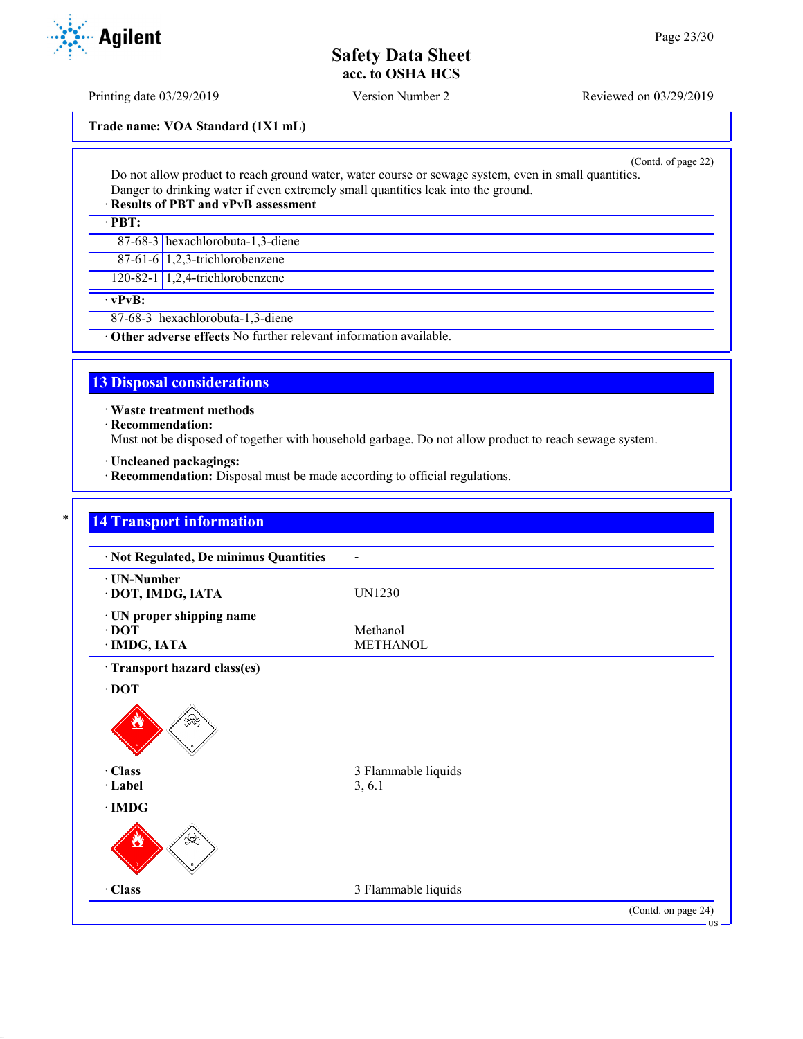Printing date 03/29/2019 Version Number 2 Reviewed on 03/29/2019

**Trade name: VOA Standard (1X1 mL)**

(Contd. of page 22)

Do not allow product to reach ground water, water course or sewage system, even in small quantities. Danger to drinking water if even extremely small quantities leak into the ground.

### · **Results of PBT and vPvB assessment**

· **PBT:**

87-68-3 hexachlorobuta-1,3-diene

87-61-6 1,2,3-trichlorobenzene

120-82-1 1,2,4-trichlorobenzene

· **vPvB:**

87-68-3 hexachlorobuta-1,3-diene

· **Other adverse effects** No further relevant information available.

### **13 Disposal considerations**

· **Waste treatment methods**

· **Recommendation:**

Must not be disposed of together with household garbage. Do not allow product to reach sewage system.

· **Uncleaned packagings:**

· **Recommendation:** Disposal must be made according to official regulations.

### **14 Transport information**

| · Not Regulated, De minimus Quantities                   |                             |                     |
|----------------------------------------------------------|-----------------------------|---------------------|
| · UN-Number<br>· DOT, IMDG, IATA                         | UN1230                      |                     |
| · UN proper shipping name<br>$\cdot$ DOT<br>· IMDG, IATA | Methanol<br><b>METHANOL</b> |                     |
| · Transport hazard class(es)                             |                             |                     |
| $\cdot$ DOT                                              |                             |                     |
| ुक€                                                      |                             |                     |
| · Class                                                  | 3 Flammable liquids         |                     |
| · Label                                                  | 3, 6.1                      |                     |
| $\cdot$ IMDG                                             |                             |                     |
| §⊋                                                       |                             |                     |
| · Class                                                  | 3 Flammable liquids         |                     |
|                                                          |                             | (Contd. on page 24) |

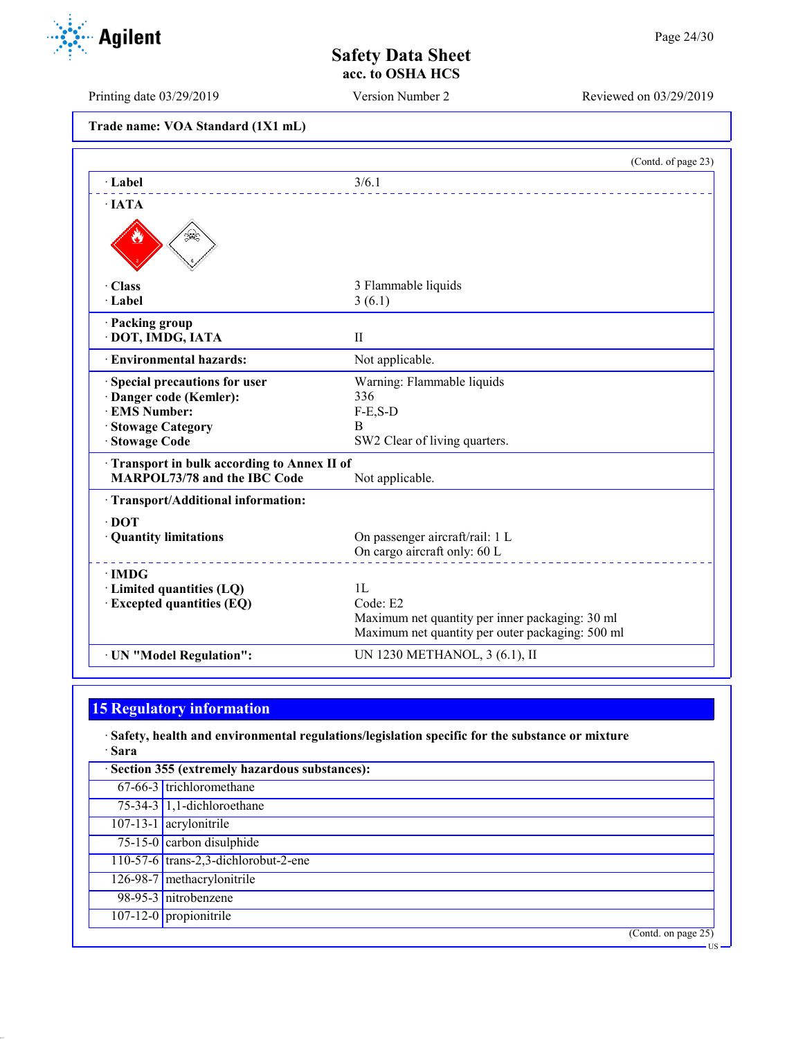Printing date 03/29/2019 Version Number 2 Reviewed on 03/29/2019

**Trade name: VOA Standard (1X1 mL)**

|                                                                                   | (Contd. of page 23)                              |
|-----------------------------------------------------------------------------------|--------------------------------------------------|
| $\cdot$ Label                                                                     | 3/6.1                                            |
| $\cdot$ JATA                                                                      |                                                  |
|                                                                                   |                                                  |
| $\cdot$ Class                                                                     | 3 Flammable liquids                              |
| · Label                                                                           | 3(6.1)                                           |
| · Packing group<br>· DOT, IMDG, IATA                                              | $\mathbf{I}$                                     |
| · Environmental hazards:                                                          | Not applicable.                                  |
| Special precautions for user                                                      | Warning: Flammable liquids                       |
| · Danger code (Kemler):                                                           | 336                                              |
| · EMS Number:                                                                     | $F-E,S-D$                                        |
| <b>Stowage Category</b>                                                           | B                                                |
| Stowage Code                                                                      | SW2 Clear of living quarters.                    |
| Transport in bulk according to Annex II of<br><b>MARPOL73/78 and the IBC Code</b> | Not applicable.                                  |
| · Transport/Additional information:                                               |                                                  |
| $\cdot$ DOT                                                                       |                                                  |
| · Quantity limitations                                                            | On passenger aircraft/rail: 1 L                  |
|                                                                                   | On cargo aircraft only: 60 L                     |
| $\cdot$ IMDG                                                                      |                                                  |
| · Limited quantities (LQ)                                                         | 1L                                               |
| <b>Excepted quantities (EQ)</b>                                                   | Code: E2                                         |
|                                                                                   | Maximum net quantity per inner packaging: 30 ml  |
|                                                                                   | Maximum net quantity per outer packaging: 500 ml |
| · UN "Model Regulation":                                                          | UN 1230 METHANOL, 3 (6.1), II                    |

### **15 Regulatory information**

· **Safety, health and environmental regulations/legislation specific for the substance or mixture** · **Sara**

| · Section 355 (extremely hazardous substances): |
|-------------------------------------------------|
| 67-66-3 trichloromethane                        |
| $75-34-3$ 1,1-dichloroethane                    |
| $107-13-1$ acrylonitrile                        |
| $\overline{75-15-0}$ carbon disulphide          |
| 110-57-6 trans-2,3-dichlorobut-2-ene            |
| 126-98-7 methacrylonitrile                      |
| 98-95-3 nitrobenzene                            |
| 107-12-0 propionitrile                          |
| (Contd. on page 25)                             |
| -US                                             |

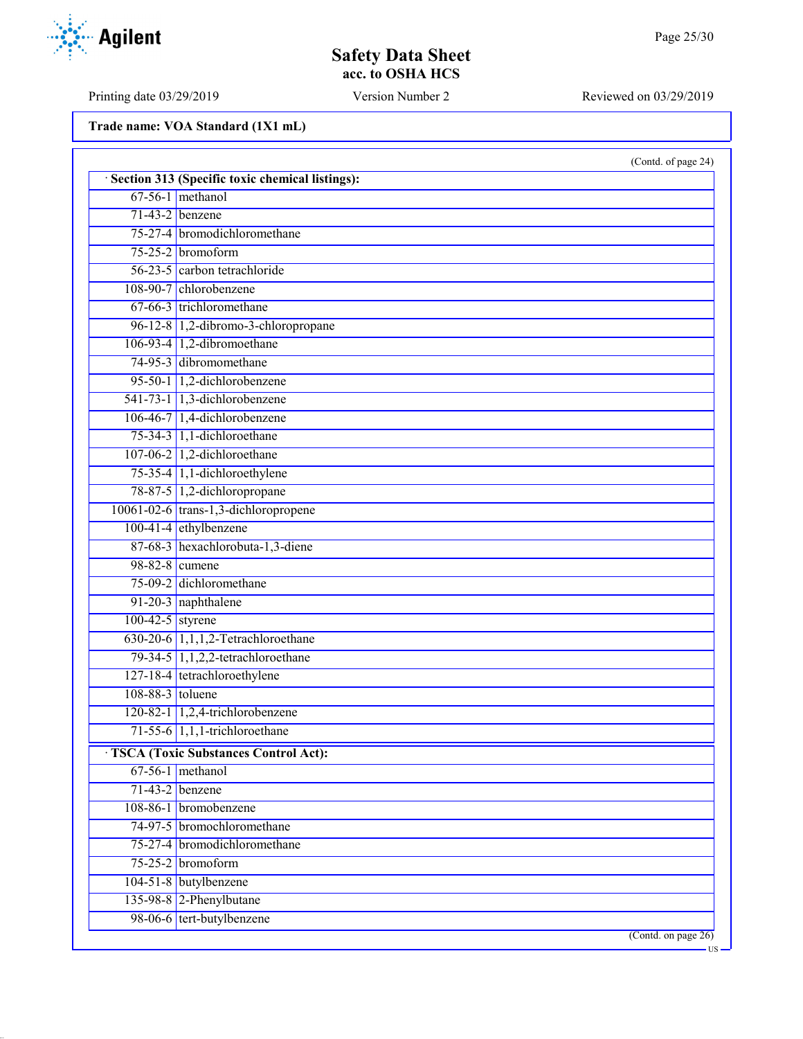# **Safety Data Sheet acc. to OSHA HCS**

Printing date 03/29/2019 Version Number 2 Reviewed on 03/29/2019

|                    | (Contd. of page 24)                               |
|--------------------|---------------------------------------------------|
|                    | · Section 313 (Specific toxic chemical listings): |
|                    | $67-56-1$ methanol                                |
|                    | $71-43-2$ benzene                                 |
|                    | 75-27-4 bromodichloromethane                      |
|                    | 75-25-2 bromoform                                 |
|                    | 56-23-5 carbon tetrachloride                      |
|                    | 108-90-7 chlorobenzene                            |
|                    | $67-66-3$ trichloromethane                        |
|                    | 96-12-8 1,2-dibromo-3-chloropropane               |
|                    | 106-93-4 1,2-dibromoethane                        |
|                    | 74-95-3 dibromomethane                            |
|                    | 95-50-1 1,2-dichlorobenzene                       |
|                    | 541-73-1 1,3-dichlorobenzene                      |
|                    | $106-46-7$ 1,4-dichlorobenzene                    |
|                    | 75-34-3 $1,1$ -dichloroethane                     |
|                    | 107-06-2 1,2-dichloroethane                       |
|                    | 75-35-4 1,1-dichloroethylene                      |
|                    | 78-87-5 1,2-dichloropropane                       |
|                    | 10061-02-6 trans-1,3-dichloropropene              |
|                    | $100-41-4$ ethylbenzene                           |
|                    | 87-68-3 hexachlorobuta-1,3-diene                  |
|                    | 98-82-8 cumene                                    |
|                    | 75-09-2 dichloromethane                           |
|                    | 91-20-3 naphthalene                               |
| $100-42-5$ styrene |                                                   |
|                    | $630-20-6$ 1,1,1,2-Tetrachloroethane              |
|                    | 79-34-5 1,1,2,2-tetrachloroethane                 |
|                    | 127-18-4 tetrachloroethylene                      |
| 108-88-3 toluene   |                                                   |
|                    | $120-82-1$ 1,2,4-trichlorobenzene                 |
|                    | $71-55-6$ 1,1,1-trichloroethane                   |
|                    | <b>TSCA (Toxic Substances Control Act):</b>       |
|                    | $67-56-1$ methanol                                |
|                    | $71-43-2$ benzene                                 |
|                    | 108-86-1 bromobenzene                             |
|                    | 74-97-5 bromochloromethane                        |
|                    | 75-27-4 bromodichloromethane                      |
|                    | $75-25-2$ bromoform                               |
|                    | 104-51-8 butylbenzene                             |
|                    | 135-98-8 $2$ -Phenylbutane                        |
|                    | 98-06-6 tert-butylbenzene                         |
|                    | $($ Contd. on page $26)$                          |

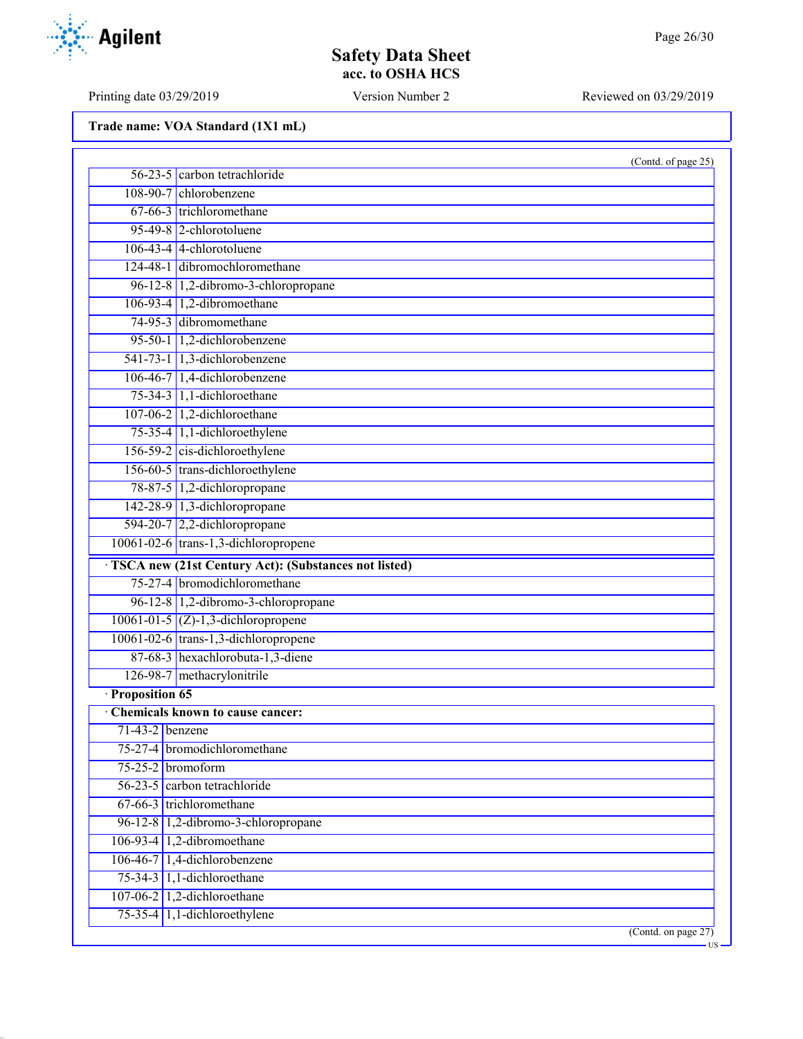# **Safety Data Sheet acc. to OSHA HCS**

Printing date 03/29/2019 Version Number 2 Reviewed on 03/29/2019

|                   | (Contd. of page 25)                                  |
|-------------------|------------------------------------------------------|
|                   | 56-23-5 carbon tetrachloride                         |
|                   | 108-90-7 chlorobenzene                               |
|                   | 67-66-3 trichloromethane                             |
|                   | 95-49-8 2-chlorotoluene                              |
|                   | $106-43-4$ 4-chlorotoluene                           |
|                   | 124-48-1 dibromochloromethane                        |
|                   | 96-12-8 1,2-dibromo-3-chloropropane                  |
|                   | 106-93-4 1,2-dibromoethane                           |
|                   | 74-95-3 dibromomethane                               |
|                   | 95-50-1 1,2-dichlorobenzene                          |
|                   | 541-73-1 1,3-dichlorobenzene                         |
|                   | 106-46-7 1,4-dichlorobenzene                         |
|                   | 75-34-3 1,1-dichloroethane                           |
|                   | $107-06-2$ 1,2-dichloroethane                        |
|                   | 75-35-4 1,1-dichloroethylene                         |
|                   | 156-59-2 cis-dichloroethylene                        |
|                   | 156-60-5 trans-dichloroethylene                      |
|                   | 78-87-5 1,2-dichloropropane                          |
|                   | 142-28-9 1,3-dichloropropane                         |
|                   | 594-20-7 $2,2$ -dichloropropane                      |
|                   | 10061-02-6 trans-1,3-dichloropropene                 |
|                   | TSCA new (21st Century Act): (Substances not listed) |
|                   | 75-27-4 bromodichloromethane                         |
|                   | 96-12-8 1,2-dibromo-3-chloropropane                  |
|                   | $10061 - 01 - 5$ (Z)-1,3-dichloropropene             |
|                   | 10061-02-6 trans-1,3-dichloropropene                 |
|                   | 87-68-3 hexachlorobuta-1,3-diene                     |
|                   | 126-98-7 methacrylonitrile                           |
| · Proposition 65  |                                                      |
|                   | <b>Chemicals known to cause cancer:</b>              |
| $71-43-2$ benzene |                                                      |
|                   | 75-27-4 bromodichloromethane                         |
| 75-25-2 bromoform |                                                      |
|                   | 56-23-5 carbon tetrachloride                         |
|                   | 67-66-3 trichloromethane                             |
|                   | 96-12-8 1,2-dibromo-3-chloropropane                  |
|                   | $106-93-4$ 1,2-dibromoethane                         |
|                   | $106-46-7$ 1,4-dichlorobenzene                       |
|                   | $75-34-3$ 1,1-dichloroethane                         |
|                   | 107-06-2 1,2-dichloroethane                          |
|                   | $75-35-4$ 1,1-dichloroethylene                       |
|                   | $($ Contd. on page 27 $)$                            |

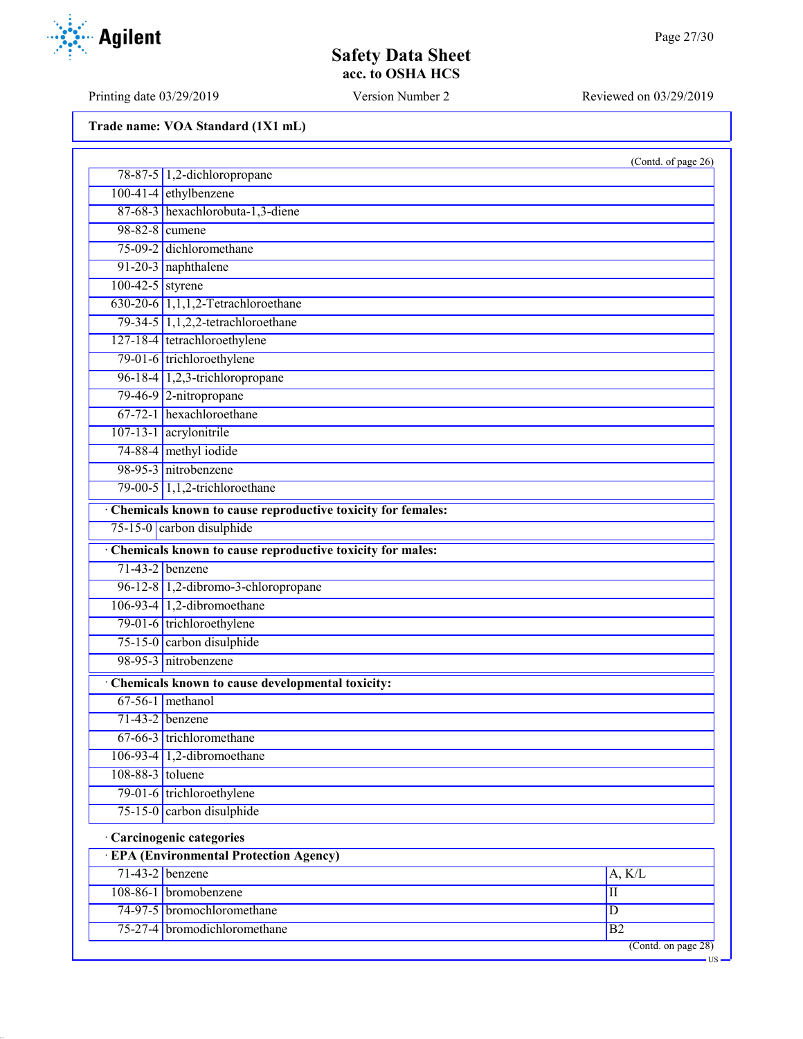Printing date 03/29/2019 Version Number 2 Reviewed on 03/29/2019

|                    |                                                             | (Contd. of page 26) |
|--------------------|-------------------------------------------------------------|---------------------|
|                    | 78-87-5 1,2-dichloropropane                                 |                     |
|                    | 100-41-4 ethylbenzene                                       |                     |
|                    | 87-68-3 hexachlorobuta-1,3-diene                            |                     |
| 98-82-8 cumene     |                                                             |                     |
|                    | 75-09-2 dichloromethane                                     |                     |
|                    | 91-20-3 naphthalene                                         |                     |
| $100-42-5$ styrene |                                                             |                     |
|                    | 630-20-6 1,1,1,2-Tetrachloroethane                          |                     |
|                    | 79-34-5 1,1,2,2-tetrachloroethane                           |                     |
|                    | 127-18-4 tetrachloroethylene                                |                     |
|                    | 79-01-6 trichloroethylene                                   |                     |
|                    | 96-18-4 1,2,3-trichloropropane                              |                     |
|                    | 79-46-9 2-nitropropane                                      |                     |
|                    | 67-72-1 hexachloroethane                                    |                     |
|                    | 107-13-1 acrylonitrile                                      |                     |
|                    | 74-88-4 methyl iodide                                       |                     |
|                    | 98-95-3 nitrobenzene                                        |                     |
|                    | 79-00-5 $1,1,2$ -trichloroethane                            |                     |
|                    | Chemicals known to cause reproductive toxicity for females: |                     |
|                    | 75-15-0 carbon disulphide                                   |                     |
|                    | Chemicals known to cause reproductive toxicity for males:   |                     |
|                    | $71-43-2$ benzene                                           |                     |
|                    | 96-12-8 1,2-dibromo-3-chloropropane                         |                     |
|                    | 106-93-4 1,2-dibromoethane                                  |                     |
|                    | 79-01-6 trichloroethylene                                   |                     |
|                    | 75-15-0 carbon disulphide                                   |                     |
|                    | 98-95-3 nitrobenzene                                        |                     |
|                    | Chemicals known to cause developmental toxicity:            |                     |
|                    | $67-56-1$ methanol                                          |                     |
|                    | $71-43-2$ benzene                                           |                     |
|                    | 67-66-3 trichloromethane                                    |                     |
|                    | 106-93-4 $ 1,2$ -dibromoethane                              |                     |
| 108-88-3 toluene   |                                                             |                     |
|                    | 79-01-6 trichloroethylene                                   |                     |
|                    | 75-15-0 carbon disulphide                                   |                     |
|                    | · Carcinogenic categories                                   |                     |
|                    | <b>EPA (Environmental Protection Agency)</b>                |                     |
|                    | $71-43-2$ benzene                                           | A, K/L              |
|                    | 108-86-1 bromobenzene                                       | $\overline{\rm II}$ |
|                    | 74-97-5 bromochloromethane                                  | D                   |
|                    | 75-27-4 bromodichloromethane                                | B2                  |
|                    |                                                             |                     |

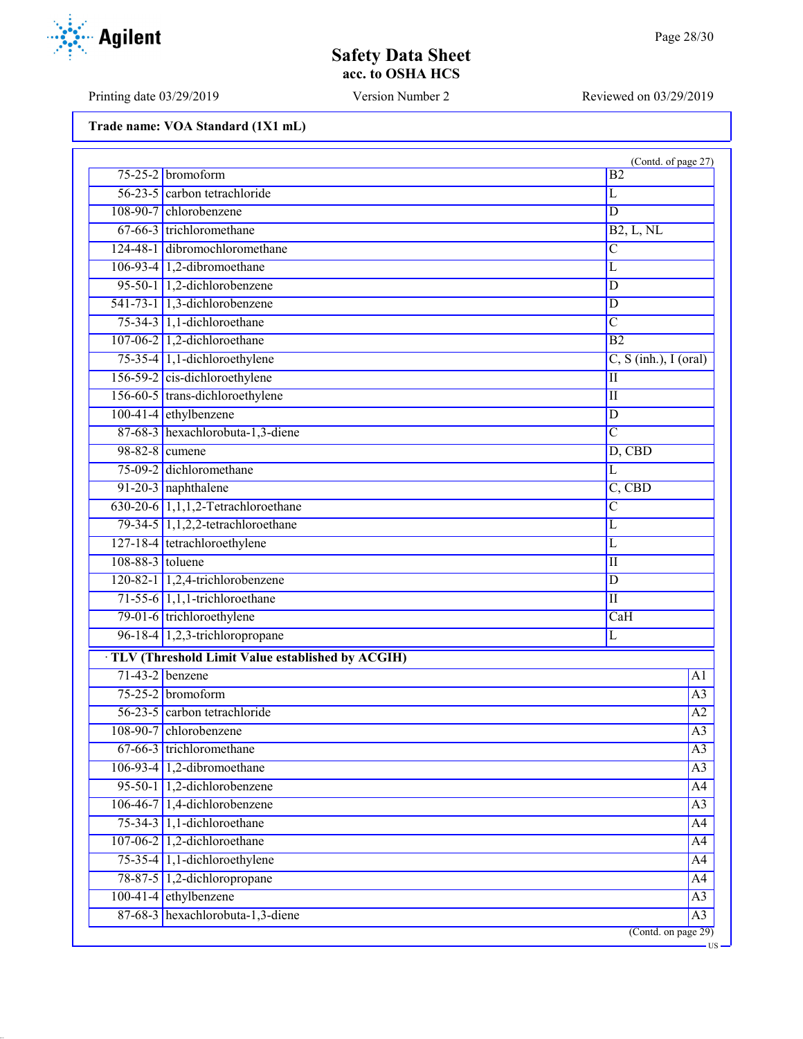Printing date 03/29/2019 Version Number 2 Reviewed on 03/29/2019

|                   |                                                  | (Contd. of page 27)     |
|-------------------|--------------------------------------------------|-------------------------|
|                   | $75-25-2$ bromoform                              | B <sub>2</sub>          |
|                   | 56-23-5 carbon tetrachloride                     | L                       |
|                   | 108-90-7 chlorobenzene                           | $\overline{\mathbb{D}}$ |
|                   | 67-66-3 trichloromethane                         | B2, L, NL               |
|                   | 124-48-1 dibromochloromethane                    | $\overline{C}$          |
|                   | 106-93-4 1,2-dibromoethane                       | $\overline{\text{L}}$   |
|                   | 95-50-1 1,2-dichlorobenzene                      | D                       |
|                   | 541-73-1 1,3-dichlorobenzene                     | D                       |
|                   | 75-34-3 1,1-dichloroethane                       | $\overline{C}$          |
|                   | 107-06-2 1,2-dichloroethane                      | $\overline{B2}$         |
|                   | 75-35-4 1,1-dichloroethylene                     | $C, S$ (inh.), I (oral) |
|                   | 156-59-2 cis-dichloroethylene                    | $\overline{\rm II}$     |
|                   | 156-60-5 trans-dichloroethylene                  | $\overline{\mathbf{u}}$ |
|                   | $100-41-4$ ethylbenzene                          | $\overline{\mathbb{D}}$ |
|                   | 87-68-3 hexachlorobuta-1,3-diene                 | $\overline{C}$          |
| 98-82-8 cumene    |                                                  | $D,$ CBD                |
|                   | 75-09-2 dichloromethane                          | $\overline{\text{L}}$   |
|                   | 91-20-3 naphthalene                              | C, CBD                  |
|                   | $630-20-6$ 1,1,1,2-Tetrachloroethane             | $\overline{C}$          |
|                   | 79-34-5 1,1,2,2-tetrachloroethane                | $\overline{L}$          |
|                   | 127-18-4 tetrachloroethylene                     | L                       |
| 108-88-3 toluene  |                                                  | П                       |
|                   | 120-82-1 1,2,4-trichlorobenzene                  | $\overline{D}$          |
|                   | $71-55-6$ 1,1,1-trichloroethane                  | $\overline{\rm II}$     |
|                   | 79-01-6 trichloroethylene                        | CaH                     |
|                   | 96-18-4 1,2,3-trichloropropane                   | L                       |
|                   | TLV (Threshold Limit Value established by ACGIH) |                         |
| $71-43-2$ benzene |                                                  | A1                      |
|                   | $75-25-2$ bromoform                              | A <sub>3</sub>          |
|                   | 56-23-5 carbon tetrachloride                     | A2                      |
|                   | 108-90-7 chlorobenzene                           | $\overline{A3}$         |
|                   | $67-66-3$ trichloromethane                       | A <sub>3</sub>          |
|                   | $106-93-4$ 1,2-dibromoethane                     | $\overline{A3}$         |
|                   | 95-50-1 1,2-dichlorobenzene                      | A4                      |
|                   | 106-46-7 1,4-dichlorobenzene                     | A <sub>3</sub>          |
|                   | $75-34-3$ 1,1-dichloroethane                     | A <sup>4</sup>          |
|                   | $107-06-2$ 1,2-dichloroethane                    | A <sup>4</sup>          |
|                   | $75-35-4$ 1,1-dichloroethylene                   | A <sup>4</sup>          |
|                   | 78-87-5 1,2-dichloropropane                      | A <sup>4</sup>          |
|                   | $100-41-4$ ethylbenzene                          | A3                      |
|                   | 87-68-3 hexachlorobuta-1,3-diene                 | A3                      |
|                   |                                                  | (Contd. on page 29)     |

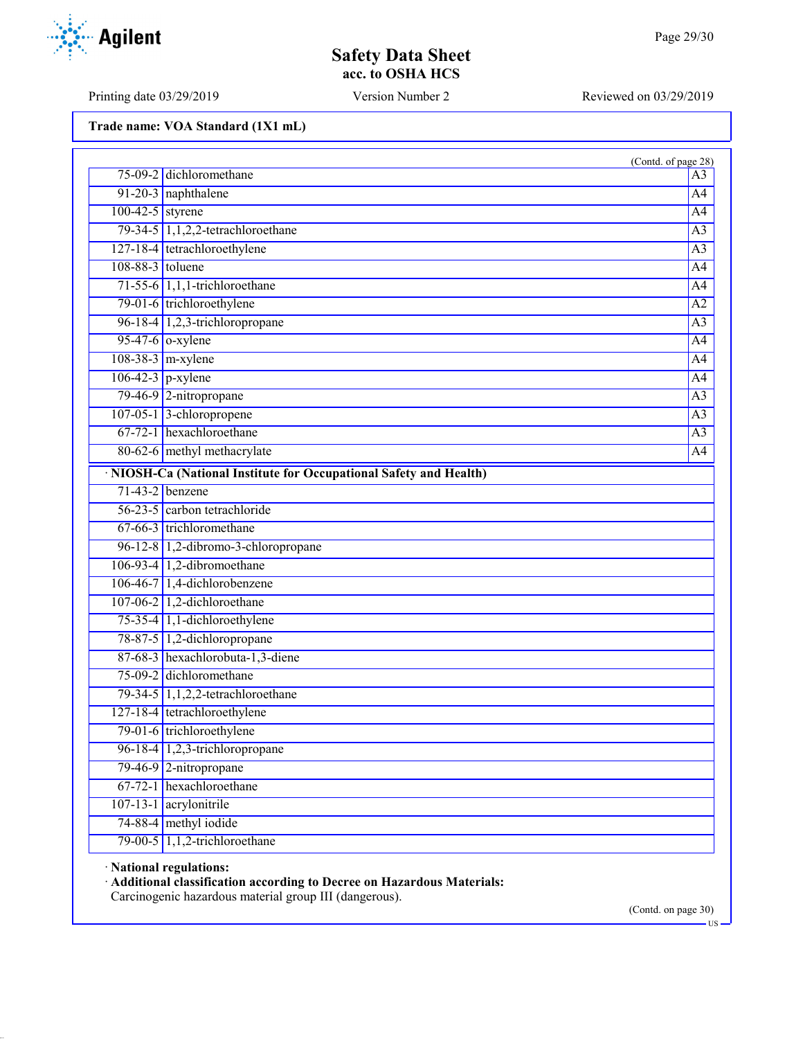Printing date 03/29/2019 Version Number 2 Reviewed on 03/29/2019

**Trade name: VOA Standard (1X1 mL)**

|                    |                                                                    | (Contd. of page 28) |
|--------------------|--------------------------------------------------------------------|---------------------|
|                    | 75-09-2 dichloromethane                                            | A <sub>3</sub>      |
|                    | 91-20-3 naphthalene                                                | A4                  |
| $100-42-5$ styrene |                                                                    | A <sub>4</sub>      |
|                    | 79-34-5 1,1,2,2-tetrachloroethane                                  | $\overline{A3}$     |
|                    | 127-18-4 tetrachloroethylene                                       | A <sub>3</sub>      |
| $108-88-3$ toluene |                                                                    | A <sub>4</sub>      |
|                    | $71-55-6$ 1,1,1-trichloroethane                                    | A <sup>4</sup>      |
|                    | 79-01-6 trichloroethylene                                          | $\overline{A2}$     |
|                    | 96-18-4 1,2,3-trichloropropane                                     | $\overline{A3}$     |
|                    | $95-47-6$ o-xylene                                                 | A <sub>4</sub>      |
|                    | $108-38-3$ m-xylene                                                | A4                  |
|                    | $106-42-3$ p-xylene                                                | A <sub>4</sub>      |
|                    | 79-46-9 2-nitropropane                                             | A <sub>3</sub>      |
|                    | 107-05-1 3-chloropropene                                           | $\overline{A3}$     |
|                    | $67-72-1$ hexachloroethane                                         | $\overline{A3}$     |
|                    | 80-62-6 methyl methacrylate                                        | A4                  |
|                    | · NIOSH-Ca (National Institute for Occupational Safety and Health) |                     |
|                    | $71-43-2$ benzene                                                  |                     |
|                    | 56-23-5 carbon tetrachloride                                       |                     |
|                    | 67-66-3 trichloromethane                                           |                     |
|                    | 96-12-8 1,2-dibromo-3-chloropropane                                |                     |
|                    | 106-93-4 1,2-dibromoethane                                         |                     |
|                    | 106-46-7 1,4-dichlorobenzene                                       |                     |
|                    | 107-06-2 1,2-dichloroethane                                        |                     |
|                    | 75-35-4 1,1-dichloroethylene                                       |                     |
|                    | 78-87-5 1,2-dichloropropane                                        |                     |
|                    | 87-68-3 hexachlorobuta-1,3-diene                                   |                     |
|                    | 75-09-2 dichloromethane                                            |                     |
|                    | 79-34-5 1,1,2,2-tetrachloroethane                                  |                     |
|                    | 127-18-4 tetrachloroethylene                                       |                     |
|                    | 79-01-6 trichloroethylene                                          |                     |
|                    | 96-18-4 $\vert$ 1,2,3-trichloropropane                             |                     |
|                    | 79-46-9 2-nitropropane                                             |                     |
|                    | 67-72-1 hexachloroethane                                           |                     |
|                    | 107-13-1 acrylonitrile                                             |                     |
|                    | 74-88-4 methyl iodide                                              |                     |
|                    | 79-00-5 1,1,2-trichloroethane                                      |                     |

· **National regulations:**

· **Additional classification according to Decree on Hazardous Materials:**

Carcinogenic hazardous material group III (dangerous).

(Contd. on page 30)

US